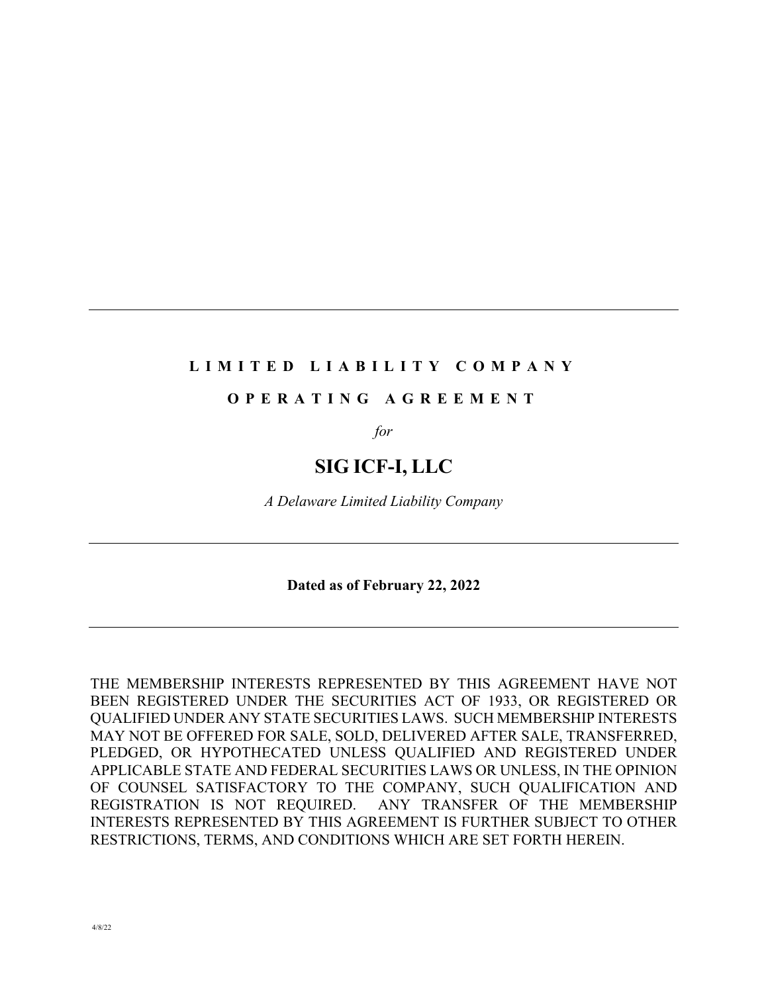#### **LIMITED LIABILITY COMPANY**

### **OPERATING AGREEMENT**

*for*

# **SIG ICF-I, LLC**

*A Delaware Limited Liability Company*

**Dated as of February 22, 2022**

THE MEMBERSHIP INTERESTS REPRESENTED BY THIS AGREEMENT HAVE NOT BEEN REGISTERED UNDER THE SECURITIES ACT OF 1933, OR REGISTERED OR QUALIFIED UNDER ANY STATE SECURITIES LAWS. SUCH MEMBERSHIP INTERESTS MAY NOT BE OFFERED FOR SALE, SOLD, DELIVERED AFTER SALE, TRANSFERRED, PLEDGED, OR HYPOTHECATED UNLESS QUALIFIED AND REGISTERED UNDER APPLICABLE STATE AND FEDERAL SECURITIES LAWS OR UNLESS, IN THE OPINION OF COUNSEL SATISFACTORY TO THE COMPANY, SUCH QUALIFICATION AND REGISTRATION IS NOT REQUIRED. ANY TRANSFER OF THE MEMBERSHIP INTERESTS REPRESENTED BY THIS AGREEMENT IS FURTHER SUBJECT TO OTHER RESTRICTIONS, TERMS, AND CONDITIONS WHICH ARE SET FORTH HEREIN.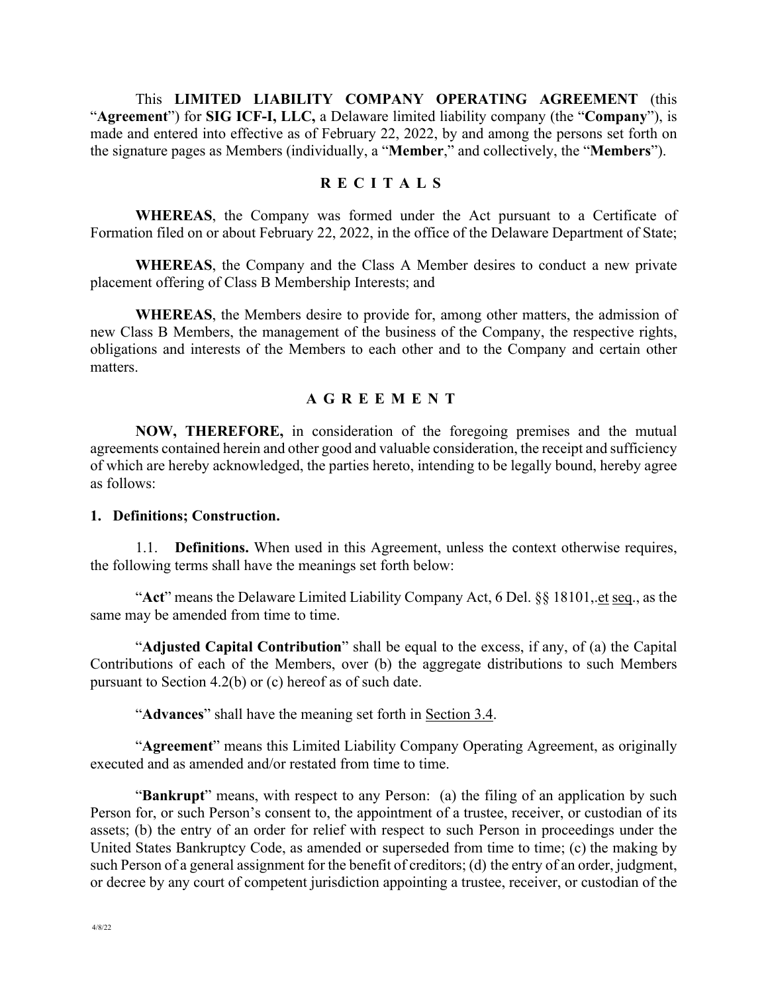This **LIMITED LIABILITY COMPANY OPERATING AGREEMENT** (this "**Agreement**") for **SIG ICF-I, LLC,** a Delaware limited liability company (the "**Company**"), is made and entered into effective as of February 22, 2022, by and among the persons set forth on the signature pages as Members (individually, a "**Member**," and collectively, the "**Members**").

#### **RECITALS**

**WHEREAS**, the Company was formed under the Act pursuant to a Certificate of Formation filed on or about February 22, 2022, in the office of the Delaware Department of State;

**WHEREAS**, the Company and the Class A Member desires to conduct a new private placement offering of Class B Membership Interests; and

**WHEREAS**, the Members desire to provide for, among other matters, the admission of new Class B Members, the management of the business of the Company, the respective rights, obligations and interests of the Members to each other and to the Company and certain other matters.

#### **AGREEMENT**

**NOW, THEREFORE,** in consideration of the foregoing premises and the mutual agreements contained herein and other good and valuable consideration, the receipt and sufficiency of which are hereby acknowledged, the parties hereto, intending to be legally bound, hereby agree as follows:

#### **1. Definitions; Construction.**

1.1. **Definitions.** When used in this Agreement, unless the context otherwise requires, the following terms shall have the meanings set forth below:

"**Act**" means the Delaware Limited Liability Company Act, 6 Del. §§ 18101,.et seq., as the same may be amended from time to time.

"**Adjusted Capital Contribution**" shall be equal to the excess, if any, of (a) the Capital Contributions of each of the Members, over (b) the aggregate distributions to such Members pursuant to Section 4.2(b) or (c) hereof as of such date.

"**Advances**" shall have the meaning set forth in Section 3.4.

"**Agreement**" means this Limited Liability Company Operating Agreement, as originally executed and as amended and/or restated from time to time.

"**Bankrupt**" means, with respect to any Person: (a) the filing of an application by such Person for, or such Person's consent to, the appointment of a trustee, receiver, or custodian of its assets; (b) the entry of an order for relief with respect to such Person in proceedings under the United States Bankruptcy Code, as amended or superseded from time to time; (c) the making by such Person of a general assignment for the benefit of creditors; (d) the entry of an order, judgment, or decree by any court of competent jurisdiction appointing a trustee, receiver, or custodian of the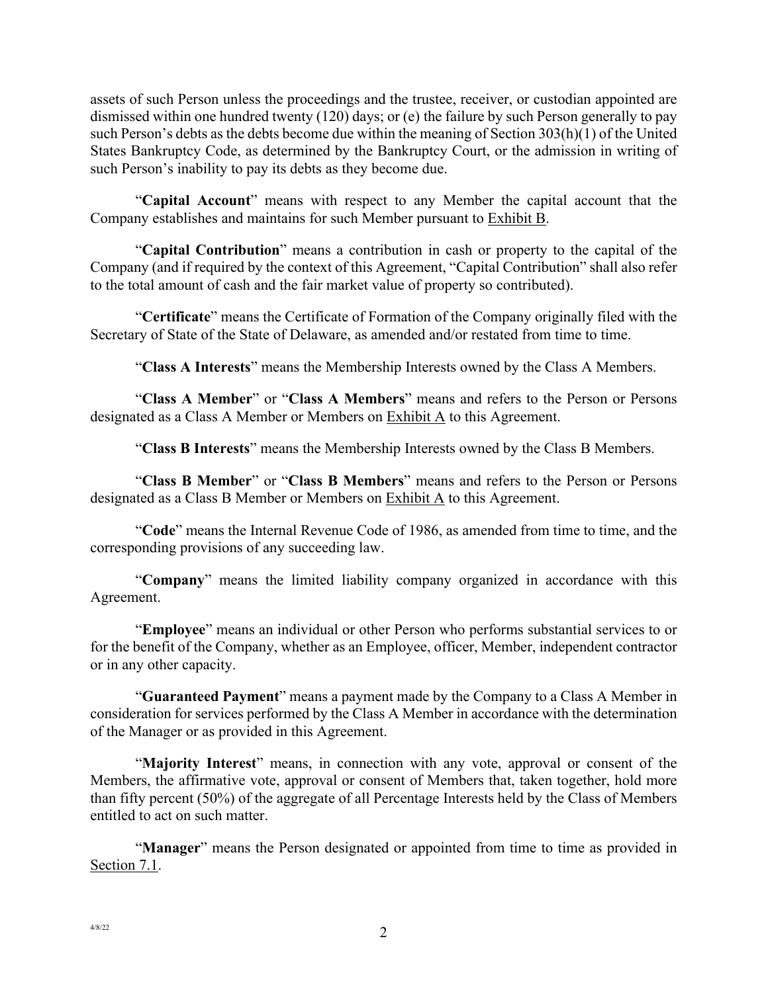assets of such Person unless the proceedings and the trustee, receiver, or custodian appointed are dismissed within one hundred twenty (120) days; or (e) the failure by such Person generally to pay such Person's debts as the debts become due within the meaning of Section 303(h)(1) of the United States Bankruptcy Code, as determined by the Bankruptcy Court, or the admission in writing of such Person's inability to pay its debts as they become due.

"**Capital Account**" means with respect to any Member the capital account that the Company establishes and maintains for such Member pursuant to Exhibit B.

"**Capital Contribution**" means a contribution in cash or property to the capital of the Company (and if required by the context of this Agreement, "Capital Contribution" shall also refer to the total amount of cash and the fair market value of property so contributed).

"**Certificate**" means the Certificate of Formation of the Company originally filed with the Secretary of State of the State of Delaware, as amended and/or restated from time to time.

"**Class A Interests**" means the Membership Interests owned by the Class A Members.

"**Class A Member**" or "**Class A Members**" means and refers to the Person or Persons designated as a Class A Member or Members on Exhibit A to this Agreement.

"**Class B Interests**" means the Membership Interests owned by the Class B Members.

"**Class B Member**" or "**Class B Members**" means and refers to the Person or Persons designated as a Class B Member or Members on **Exhibit A** to this Agreement.

"**Code**" means the Internal Revenue Code of 1986, as amended from time to time, and the corresponding provisions of any succeeding law.

"**Company**" means the limited liability company organized in accordance with this Agreement.

"**Employee**" means an individual or other Person who performs substantial services to or for the benefit of the Company, whether as an Employee, officer, Member, independent contractor or in any other capacity.

"**Guaranteed Payment**" means a payment made by the Company to a Class A Member in consideration for services performed by the Class A Member in accordance with the determination of the Manager or as provided in this Agreement.

"**Majority Interest**" means, in connection with any vote, approval or consent of the Members, the affirmative vote, approval or consent of Members that, taken together, hold more than fifty percent (50%) of the aggregate of all Percentage Interests held by the Class of Members entitled to act on such matter.

"**Manager**" means the Person designated or appointed from time to time as provided in Section 7.1.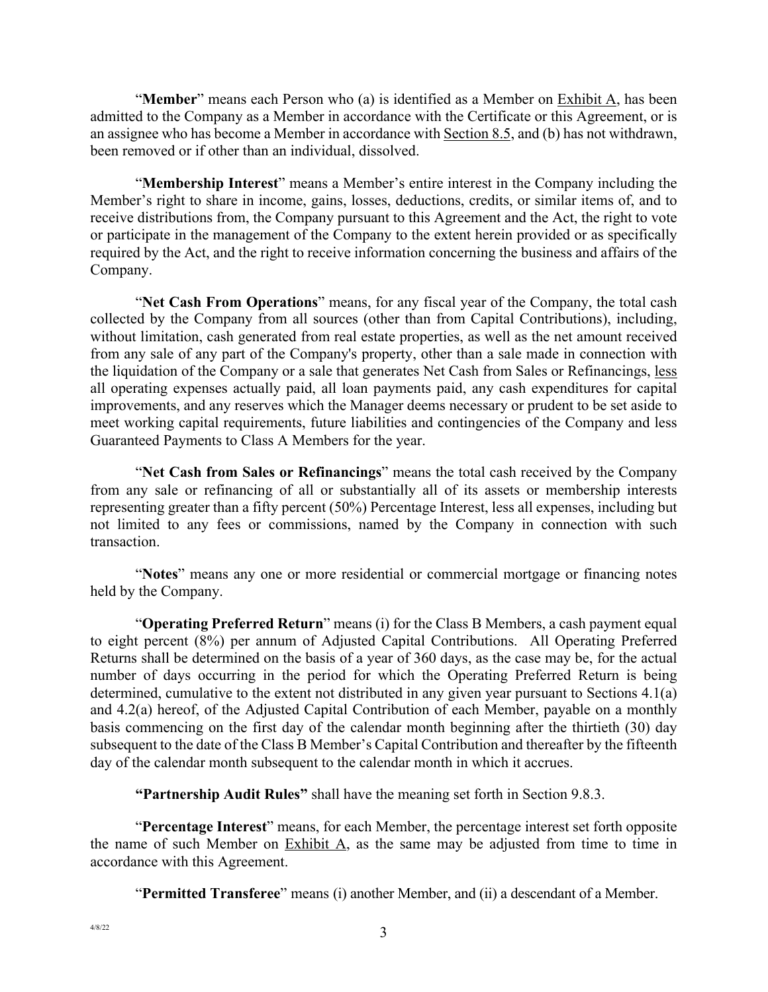"**Member**" means each Person who (a) is identified as a Member on Exhibit A, has been admitted to the Company as a Member in accordance with the Certificate or this Agreement, or is an assignee who has become a Member in accordance with Section 8.5, and (b) has not withdrawn, been removed or if other than an individual, dissolved.

"**Membership Interest**" means a Member's entire interest in the Company including the Member's right to share in income, gains, losses, deductions, credits, or similar items of, and to receive distributions from, the Company pursuant to this Agreement and the Act, the right to vote or participate in the management of the Company to the extent herein provided or as specifically required by the Act, and the right to receive information concerning the business and affairs of the Company.

"**Net Cash From Operations**" means, for any fiscal year of the Company, the total cash collected by the Company from all sources (other than from Capital Contributions), including, without limitation, cash generated from real estate properties, as well as the net amount received from any sale of any part of the Company's property, other than a sale made in connection with the liquidation of the Company or a sale that generates Net Cash from Sales or Refinancings, less all operating expenses actually paid, all loan payments paid, any cash expenditures for capital improvements, and any reserves which the Manager deems necessary or prudent to be set aside to meet working capital requirements, future liabilities and contingencies of the Company and less Guaranteed Payments to Class A Members for the year.

"**Net Cash from Sales or Refinancings**" means the total cash received by the Company from any sale or refinancing of all or substantially all of its assets or membership interests representing greater than a fifty percent (50%) Percentage Interest, less all expenses, including but not limited to any fees or commissions, named by the Company in connection with such transaction.

"**Notes**" means any one or more residential or commercial mortgage or financing notes held by the Company.

"**Operating Preferred Return**" means (i) for the Class B Members, a cash payment equal to eight percent (8%) per annum of Adjusted Capital Contributions. All Operating Preferred Returns shall be determined on the basis of a year of 360 days, as the case may be, for the actual number of days occurring in the period for which the Operating Preferred Return is being determined, cumulative to the extent not distributed in any given year pursuant to Sections 4.1(a) and 4.2(a) hereof, of the Adjusted Capital Contribution of each Member, payable on a monthly basis commencing on the first day of the calendar month beginning after the thirtieth (30) day subsequent to the date of the Class B Member's Capital Contribution and thereafter by the fifteenth day of the calendar month subsequent to the calendar month in which it accrues.

**"Partnership Audit Rules"** shall have the meaning set forth in Section 9.8.3.

"**Percentage Interest**" means, for each Member, the percentage interest set forth opposite the name of such Member on Exhibit A, as the same may be adjusted from time to time in accordance with this Agreement.

"**Permitted Transferee**" means (i) another Member, and (ii) a descendant of a Member.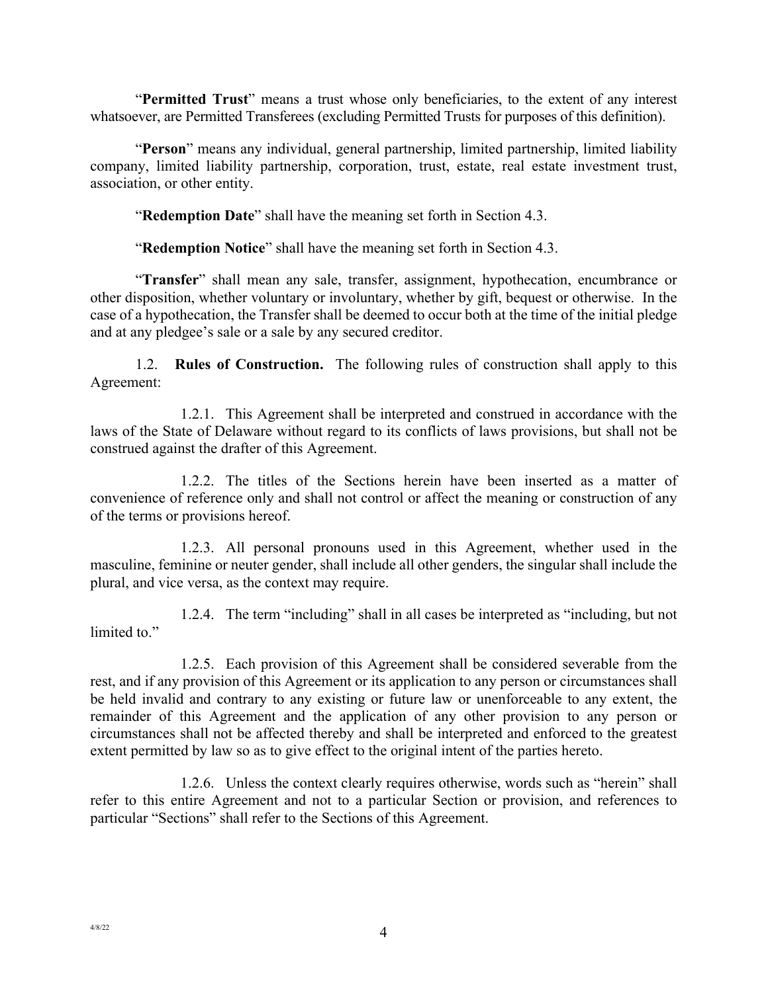"**Permitted Trust**" means a trust whose only beneficiaries, to the extent of any interest whatsoever, are Permitted Transferees (excluding Permitted Trusts for purposes of this definition).

"**Person**" means any individual, general partnership, limited partnership, limited liability company, limited liability partnership, corporation, trust, estate, real estate investment trust, association, or other entity.

"**Redemption Date**" shall have the meaning set forth in Section 4.3.

"**Redemption Notice**" shall have the meaning set forth in Section 4.3.

"**Transfer**" shall mean any sale, transfer, assignment, hypothecation, encumbrance or other disposition, whether voluntary or involuntary, whether by gift, bequest or otherwise. In the case of a hypothecation, the Transfer shall be deemed to occur both at the time of the initial pledge and at any pledgee's sale or a sale by any secured creditor.

1.2. **Rules of Construction.** The following rules of construction shall apply to this Agreement:

1.2.1. This Agreement shall be interpreted and construed in accordance with the laws of the State of Delaware without regard to its conflicts of laws provisions, but shall not be construed against the drafter of this Agreement.

1.2.2. The titles of the Sections herein have been inserted as a matter of convenience of reference only and shall not control or affect the meaning or construction of any of the terms or provisions hereof.

1.2.3. All personal pronouns used in this Agreement, whether used in the masculine, feminine or neuter gender, shall include all other genders, the singular shall include the plural, and vice versa, as the context may require.

1.2.4. The term "including" shall in all cases be interpreted as "including, but not limited to."

1.2.5. Each provision of this Agreement shall be considered severable from the rest, and if any provision of this Agreement or its application to any person or circumstances shall be held invalid and contrary to any existing or future law or unenforceable to any extent, the remainder of this Agreement and the application of any other provision to any person or circumstances shall not be affected thereby and shall be interpreted and enforced to the greatest extent permitted by law so as to give effect to the original intent of the parties hereto.

1.2.6. Unless the context clearly requires otherwise, words such as "herein" shall refer to this entire Agreement and not to a particular Section or provision, and references to particular "Sections" shall refer to the Sections of this Agreement.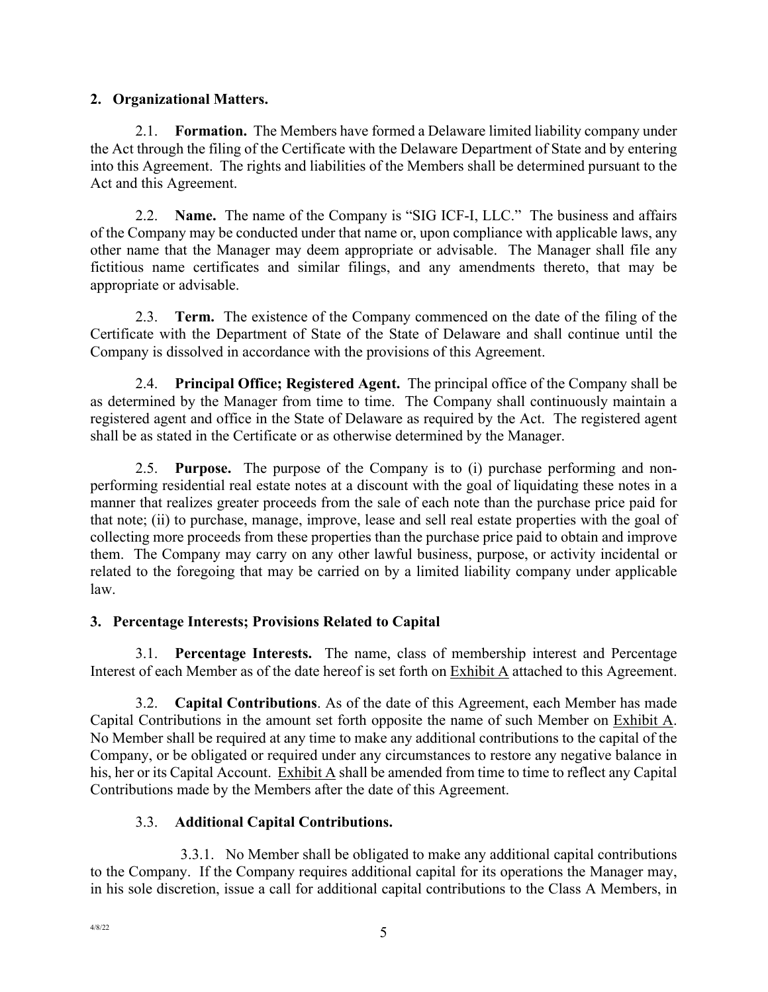### **2. Organizational Matters.**

2.1. **Formation.** The Members have formed a Delaware limited liability company under the Act through the filing of the Certificate with the Delaware Department of State and by entering into this Agreement. The rights and liabilities of the Members shall be determined pursuant to the Act and this Agreement.

2.2. **Name.** The name of the Company is "SIG ICF-I, LLC." The business and affairs of the Company may be conducted under that name or, upon compliance with applicable laws, any other name that the Manager may deem appropriate or advisable. The Manager shall file any fictitious name certificates and similar filings, and any amendments thereto, that may be appropriate or advisable.

2.3. **Term.** The existence of the Company commenced on the date of the filing of the Certificate with the Department of State of the State of Delaware and shall continue until the Company is dissolved in accordance with the provisions of this Agreement.

2.4. **Principal Office; Registered Agent.** The principal office of the Company shall be as determined by the Manager from time to time. The Company shall continuously maintain a registered agent and office in the State of Delaware as required by the Act. The registered agent shall be as stated in the Certificate or as otherwise determined by the Manager.

2.5. **Purpose.** The purpose of the Company is to (i) purchase performing and nonperforming residential real estate notes at a discount with the goal of liquidating these notes in a manner that realizes greater proceeds from the sale of each note than the purchase price paid for that note; (ii) to purchase, manage, improve, lease and sell real estate properties with the goal of collecting more proceeds from these properties than the purchase price paid to obtain and improve them. The Company may carry on any other lawful business, purpose, or activity incidental or related to the foregoing that may be carried on by a limited liability company under applicable law.

# **3. Percentage Interests; Provisions Related to Capital**

3.1. **Percentage Interests.** The name, class of membership interest and Percentage Interest of each Member as of the date hereof is set forth on Exhibit A attached to this Agreement.

3.2. **Capital Contributions**. As of the date of this Agreement, each Member has made Capital Contributions in the amount set forth opposite the name of such Member on Exhibit A. No Member shall be required at any time to make any additional contributions to the capital of the Company, or be obligated or required under any circumstances to restore any negative balance in his, her or its Capital Account. Exhibit A shall be amended from time to time to reflect any Capital Contributions made by the Members after the date of this Agreement.

# 3.3. **Additional Capital Contributions.**

3.3.1. No Member shall be obligated to make any additional capital contributions to the Company. If the Company requires additional capital for its operations the Manager may, in his sole discretion, issue a call for additional capital contributions to the Class A Members, in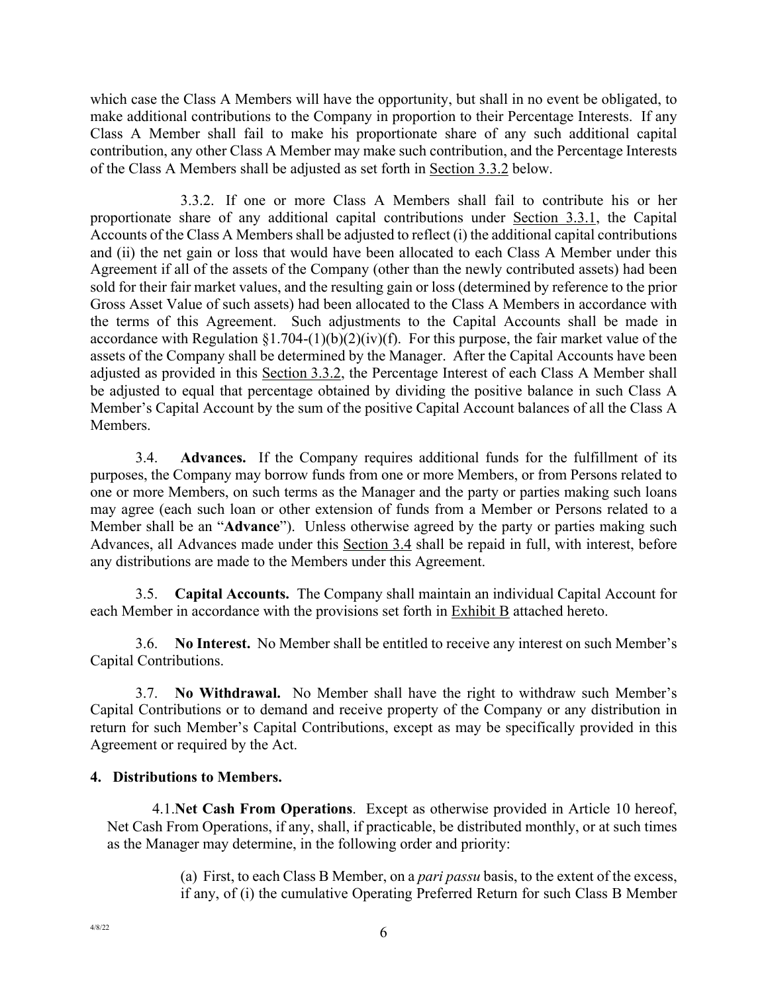which case the Class A Members will have the opportunity, but shall in no event be obligated, to make additional contributions to the Company in proportion to their Percentage Interests. If any Class A Member shall fail to make his proportionate share of any such additional capital contribution, any other Class A Member may make such contribution, and the Percentage Interests of the Class A Members shall be adjusted as set forth in Section 3.3.2 below.

3.3.2. If one or more Class A Members shall fail to contribute his or her proportionate share of any additional capital contributions under Section 3.3.1, the Capital Accounts of the Class A Members shall be adjusted to reflect (i) the additional capital contributions and (ii) the net gain or loss that would have been allocated to each Class A Member under this Agreement if all of the assets of the Company (other than the newly contributed assets) had been sold for their fair market values, and the resulting gain or loss (determined by reference to the prior Gross Asset Value of such assets) had been allocated to the Class A Members in accordance with the terms of this Agreement. Such adjustments to the Capital Accounts shall be made in accordance with Regulation §1.704-(1)(b)(2)(iv)(f). For this purpose, the fair market value of the assets of the Company shall be determined by the Manager. After the Capital Accounts have been adjusted as provided in this Section 3.3.2, the Percentage Interest of each Class A Member shall be adjusted to equal that percentage obtained by dividing the positive balance in such Class A Member's Capital Account by the sum of the positive Capital Account balances of all the Class A Members.

3.4. **Advances.** If the Company requires additional funds for the fulfillment of its purposes, the Company may borrow funds from one or more Members, or from Persons related to one or more Members, on such terms as the Manager and the party or parties making such loans may agree (each such loan or other extension of funds from a Member or Persons related to a Member shall be an "**Advance**"). Unless otherwise agreed by the party or parties making such Advances, all Advances made under this Section 3.4 shall be repaid in full, with interest, before any distributions are made to the Members under this Agreement.

3.5. **Capital Accounts.** The Company shall maintain an individual Capital Account for each Member in accordance with the provisions set forth in Exhibit B attached hereto.

3.6. **No Interest.** No Member shall be entitled to receive any interest on such Member's Capital Contributions.

3.7. **No Withdrawal.** No Member shall have the right to withdraw such Member's Capital Contributions or to demand and receive property of the Company or any distribution in return for such Member's Capital Contributions, except as may be specifically provided in this Agreement or required by the Act.

### **4. Distributions to Members.**

4.1.**Net Cash From Operations**. Except as otherwise provided in Article 10 hereof, Net Cash From Operations, if any, shall, if practicable, be distributed monthly, or at such times as the Manager may determine, in the following order and priority:

> (a) First, to each Class B Member, on a *pari passu* basis, to the extent of the excess, if any, of (i) the cumulative Operating Preferred Return for such Class B Member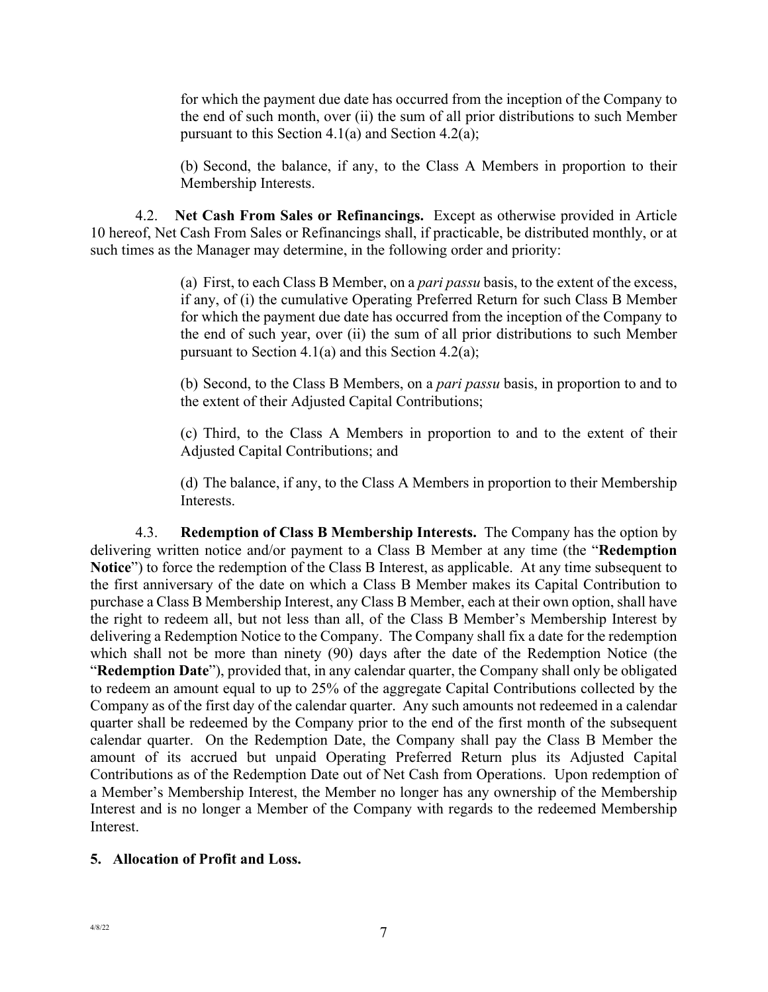for which the payment due date has occurred from the inception of the Company to the end of such month, over (ii) the sum of all prior distributions to such Member pursuant to this Section 4.1(a) and Section 4.2(a);

(b) Second, the balance, if any, to the Class A Members in proportion to their Membership Interests.

4.2. **Net Cash From Sales or Refinancings.** Except as otherwise provided in Article 10 hereof, Net Cash From Sales or Refinancings shall, if practicable, be distributed monthly, or at such times as the Manager may determine, in the following order and priority:

> (a) First, to each Class B Member, on a *pari passu* basis, to the extent of the excess, if any, of (i) the cumulative Operating Preferred Return for such Class B Member for which the payment due date has occurred from the inception of the Company to the end of such year, over (ii) the sum of all prior distributions to such Member pursuant to Section 4.1(a) and this Section 4.2(a);

> (b) Second, to the Class B Members, on a *pari passu* basis, in proportion to and to the extent of their Adjusted Capital Contributions;

> (c) Third, to the Class A Members in proportion to and to the extent of their Adjusted Capital Contributions; and

> (d) The balance, if any, to the Class A Members in proportion to their Membership Interests.

4.3. **Redemption of Class B Membership Interests.** The Company has the option by delivering written notice and/or payment to a Class B Member at any time (the "**Redemption Notice**") to force the redemption of the Class B Interest, as applicable. At any time subsequent to the first anniversary of the date on which a Class B Member makes its Capital Contribution to purchase a Class B Membership Interest, any Class B Member, each at their own option, shall have the right to redeem all, but not less than all, of the Class B Member's Membership Interest by delivering a Redemption Notice to the Company. The Company shall fix a date for the redemption which shall not be more than ninety (90) days after the date of the Redemption Notice (the "**Redemption Date**"), provided that, in any calendar quarter, the Company shall only be obligated to redeem an amount equal to up to 25% of the aggregate Capital Contributions collected by the Company as of the first day of the calendar quarter. Any such amounts not redeemed in a calendar quarter shall be redeemed by the Company prior to the end of the first month of the subsequent calendar quarter. On the Redemption Date, the Company shall pay the Class B Member the amount of its accrued but unpaid Operating Preferred Return plus its Adjusted Capital Contributions as of the Redemption Date out of Net Cash from Operations. Upon redemption of a Member's Membership Interest, the Member no longer has any ownership of the Membership Interest and is no longer a Member of the Company with regards to the redeemed Membership Interest.

#### **5. Allocation of Profit and Loss.**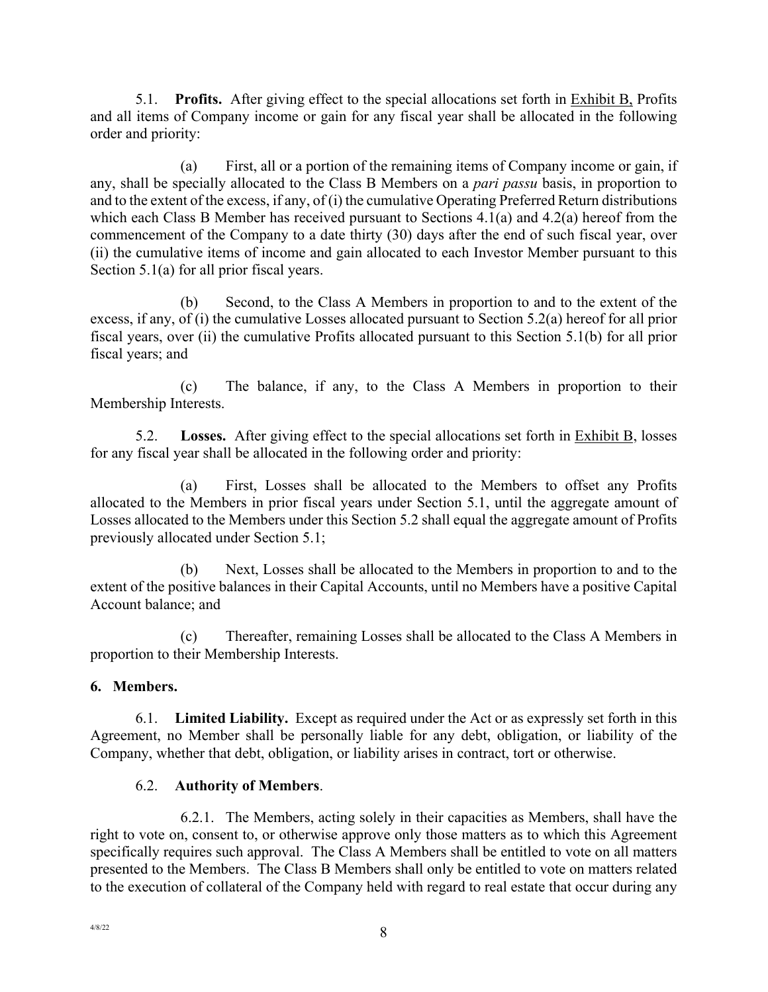5.1. **Profits.** After giving effect to the special allocations set forth in Exhibit B, Profits and all items of Company income or gain for any fiscal year shall be allocated in the following order and priority:

(a) First, all or a portion of the remaining items of Company income or gain, if any, shall be specially allocated to the Class B Members on a *pari passu* basis, in proportion to and to the extent of the excess, if any, of (i) the cumulative Operating Preferred Return distributions which each Class B Member has received pursuant to Sections 4.1(a) and 4.2(a) hereof from the commencement of the Company to a date thirty (30) days after the end of such fiscal year, over (ii) the cumulative items of income and gain allocated to each Investor Member pursuant to this Section 5.1(a) for all prior fiscal years.

(b) Second, to the Class A Members in proportion to and to the extent of the excess, if any, of (i) the cumulative Losses allocated pursuant to Section 5.2(a) hereof for all prior fiscal years, over (ii) the cumulative Profits allocated pursuant to this Section 5.1(b) for all prior fiscal years; and

(c) The balance, if any, to the Class A Members in proportion to their Membership Interests.

5.2. **Losses.** After giving effect to the special allocations set forth in Exhibit B, losses for any fiscal year shall be allocated in the following order and priority:

(a) First, Losses shall be allocated to the Members to offset any Profits allocated to the Members in prior fiscal years under Section 5.1, until the aggregate amount of Losses allocated to the Members under this Section 5.2 shall equal the aggregate amount of Profits previously allocated under Section 5.1;

(b) Next, Losses shall be allocated to the Members in proportion to and to the extent of the positive balances in their Capital Accounts, until no Members have a positive Capital Account balance; and

(c) Thereafter, remaining Losses shall be allocated to the Class A Members in proportion to their Membership Interests.

# **6. Members.**

6.1. **Limited Liability.** Except as required under the Act or as expressly set forth in this Agreement, no Member shall be personally liable for any debt, obligation, or liability of the Company, whether that debt, obligation, or liability arises in contract, tort or otherwise.

### 6.2. **Authority of Members**.

6.2.1. The Members, acting solely in their capacities as Members, shall have the right to vote on, consent to, or otherwise approve only those matters as to which this Agreement specifically requires such approval. The Class A Members shall be entitled to vote on all matters presented to the Members. The Class B Members shall only be entitled to vote on matters related to the execution of collateral of the Company held with regard to real estate that occur during any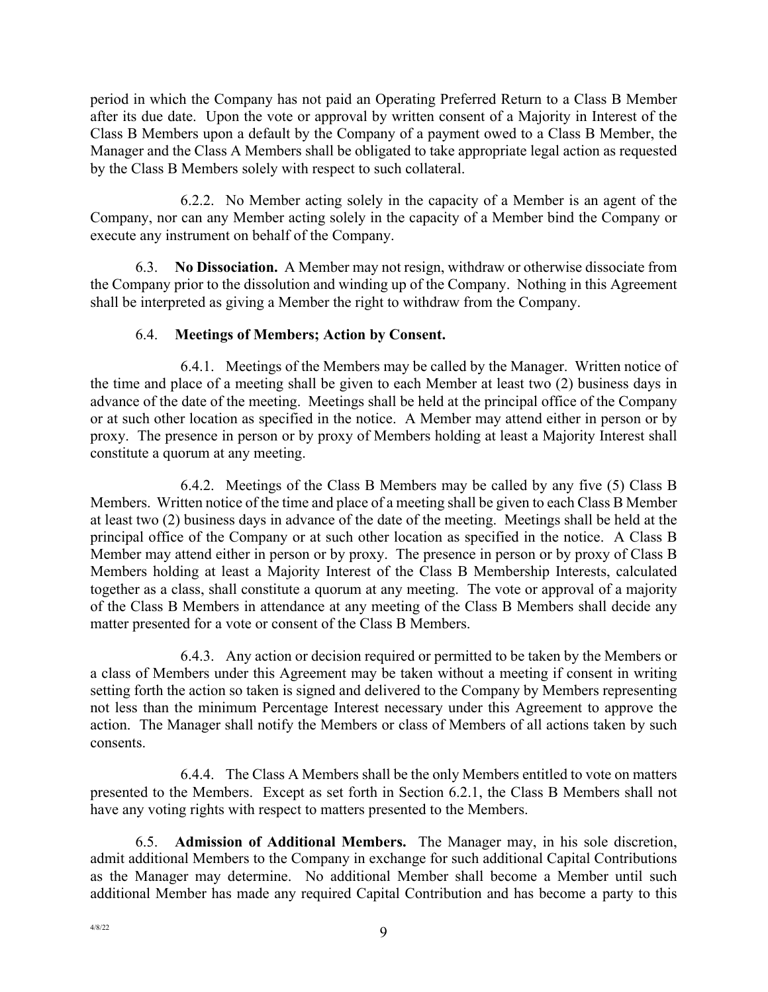period in which the Company has not paid an Operating Preferred Return to a Class B Member after its due date. Upon the vote or approval by written consent of a Majority in Interest of the Class B Members upon a default by the Company of a payment owed to a Class B Member, the Manager and the Class A Members shall be obligated to take appropriate legal action as requested by the Class B Members solely with respect to such collateral.

6.2.2. No Member acting solely in the capacity of a Member is an agent of the Company, nor can any Member acting solely in the capacity of a Member bind the Company or execute any instrument on behalf of the Company.

6.3. **No Dissociation.** A Member may not resign, withdraw or otherwise dissociate from the Company prior to the dissolution and winding up of the Company. Nothing in this Agreement shall be interpreted as giving a Member the right to withdraw from the Company.

### 6.4. **Meetings of Members; Action by Consent.**

6.4.1. Meetings of the Members may be called by the Manager. Written notice of the time and place of a meeting shall be given to each Member at least two (2) business days in advance of the date of the meeting. Meetings shall be held at the principal office of the Company or at such other location as specified in the notice. A Member may attend either in person or by proxy. The presence in person or by proxy of Members holding at least a Majority Interest shall constitute a quorum at any meeting.

6.4.2. Meetings of the Class B Members may be called by any five (5) Class B Members. Written notice of the time and place of a meeting shall be given to each Class B Member at least two (2) business days in advance of the date of the meeting. Meetings shall be held at the principal office of the Company or at such other location as specified in the notice. A Class B Member may attend either in person or by proxy. The presence in person or by proxy of Class B Members holding at least a Majority Interest of the Class B Membership Interests, calculated together as a class, shall constitute a quorum at any meeting. The vote or approval of a majority of the Class B Members in attendance at any meeting of the Class B Members shall decide any matter presented for a vote or consent of the Class B Members.

6.4.3. Any action or decision required or permitted to be taken by the Members or a class of Members under this Agreement may be taken without a meeting if consent in writing setting forth the action so taken is signed and delivered to the Company by Members representing not less than the minimum Percentage Interest necessary under this Agreement to approve the action. The Manager shall notify the Members or class of Members of all actions taken by such consents.

6.4.4. The Class A Members shall be the only Members entitled to vote on matters presented to the Members. Except as set forth in Section 6.2.1, the Class B Members shall not have any voting rights with respect to matters presented to the Members.

6.5. **Admission of Additional Members.** The Manager may, in his sole discretion, admit additional Members to the Company in exchange for such additional Capital Contributions as the Manager may determine. No additional Member shall become a Member until such additional Member has made any required Capital Contribution and has become a party to this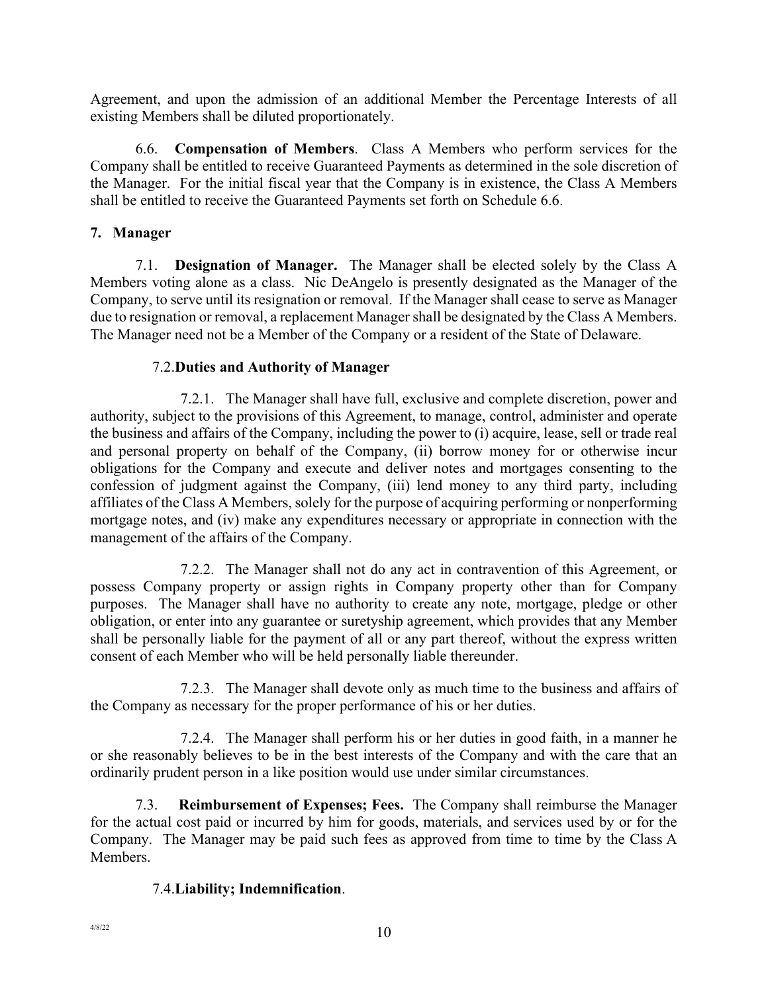Agreement, and upon the admission of an additional Member the Percentage Interests of all existing Members shall be diluted proportionately.

6.6. **Compensation of Members**. Class A Members who perform services for the Company shall be entitled to receive Guaranteed Payments as determined in the sole discretion of the Manager. For the initial fiscal year that the Company is in existence, the Class A Members shall be entitled to receive the Guaranteed Payments set forth on Schedule 6.6.

#### **7. Manager**

7.1. **Designation of Manager.** The Manager shall be elected solely by the Class A Members voting alone as a class. Nic DeAngelo is presently designated as the Manager of the Company, to serve until its resignation or removal. If the Manager shall cease to serve as Manager due to resignation or removal, a replacement Manager shall be designated by the Class A Members. The Manager need not be a Member of the Company or a resident of the State of Delaware.

#### 7.2.**Duties and Authority of Manager**

7.2.1. The Manager shall have full, exclusive and complete discretion, power and authority, subject to the provisions of this Agreement, to manage, control, administer and operate the business and affairs of the Company, including the power to (i) acquire, lease, sell or trade real and personal property on behalf of the Company, (ii) borrow money for or otherwise incur obligations for the Company and execute and deliver notes and mortgages consenting to the confession of judgment against the Company, (iii) lend money to any third party, including affiliates of the Class A Members, solely for the purpose of acquiring performing or nonperforming mortgage notes, and (iv) make any expenditures necessary or appropriate in connection with the management of the affairs of the Company.

7.2.2. The Manager shall not do any act in contravention of this Agreement, or possess Company property or assign rights in Company property other than for Company purposes. The Manager shall have no authority to create any note, mortgage, pledge or other obligation, or enter into any guarantee or suretyship agreement, which provides that any Member shall be personally liable for the payment of all or any part thereof, without the express written consent of each Member who will be held personally liable thereunder.

7.2.3. The Manager shall devote only as much time to the business and affairs of the Company as necessary for the proper performance of his or her duties.

7.2.4. The Manager shall perform his or her duties in good faith, in a manner he or she reasonably believes to be in the best interests of the Company and with the care that an ordinarily prudent person in a like position would use under similar circumstances.

7.3. **Reimbursement of Expenses; Fees.** The Company shall reimburse the Manager for the actual cost paid or incurred by him for goods, materials, and services used by or for the Company. The Manager may be paid such fees as approved from time to time by the Class A Members.

### 7.4.**Liability; Indemnification**.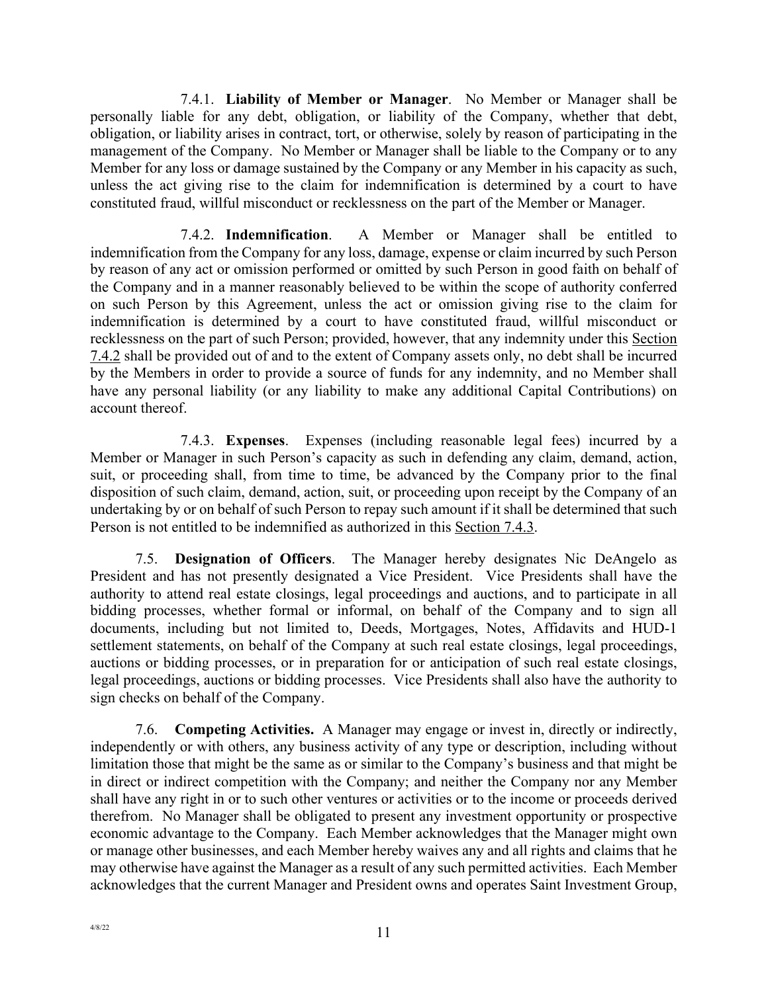7.4.1. **Liability of Member or Manager**. No Member or Manager shall be personally liable for any debt, obligation, or liability of the Company, whether that debt, obligation, or liability arises in contract, tort, or otherwise, solely by reason of participating in the management of the Company. No Member or Manager shall be liable to the Company or to any Member for any loss or damage sustained by the Company or any Member in his capacity as such, unless the act giving rise to the claim for indemnification is determined by a court to have constituted fraud, willful misconduct or recklessness on the part of the Member or Manager.

7.4.2. **Indemnification**. A Member or Manager shall be entitled to indemnification from the Company for any loss, damage, expense or claim incurred by such Person by reason of any act or omission performed or omitted by such Person in good faith on behalf of the Company and in a manner reasonably believed to be within the scope of authority conferred on such Person by this Agreement, unless the act or omission giving rise to the claim for indemnification is determined by a court to have constituted fraud, willful misconduct or recklessness on the part of such Person; provided, however, that any indemnity under this Section 7.4.2 shall be provided out of and to the extent of Company assets only, no debt shall be incurred by the Members in order to provide a source of funds for any indemnity, and no Member shall have any personal liability (or any liability to make any additional Capital Contributions) on account thereof.

7.4.3. **Expenses**. Expenses (including reasonable legal fees) incurred by a Member or Manager in such Person's capacity as such in defending any claim, demand, action, suit, or proceeding shall, from time to time, be advanced by the Company prior to the final disposition of such claim, demand, action, suit, or proceeding upon receipt by the Company of an undertaking by or on behalf of such Person to repay such amount if it shall be determined that such Person is not entitled to be indemnified as authorized in this Section 7.4.3.

7.5. **Designation of Officers**. The Manager hereby designates Nic DeAngelo as President and has not presently designated a Vice President. Vice Presidents shall have the authority to attend real estate closings, legal proceedings and auctions, and to participate in all bidding processes, whether formal or informal, on behalf of the Company and to sign all documents, including but not limited to, Deeds, Mortgages, Notes, Affidavits and HUD-1 settlement statements, on behalf of the Company at such real estate closings, legal proceedings, auctions or bidding processes, or in preparation for or anticipation of such real estate closings, legal proceedings, auctions or bidding processes. Vice Presidents shall also have the authority to sign checks on behalf of the Company.

7.6. **Competing Activities.** A Manager may engage or invest in, directly or indirectly, independently or with others, any business activity of any type or description, including without limitation those that might be the same as or similar to the Company's business and that might be in direct or indirect competition with the Company; and neither the Company nor any Member shall have any right in or to such other ventures or activities or to the income or proceeds derived therefrom. No Manager shall be obligated to present any investment opportunity or prospective economic advantage to the Company. Each Member acknowledges that the Manager might own or manage other businesses, and each Member hereby waives any and all rights and claims that he may otherwise have against the Manager as a result of any such permitted activities. Each Member acknowledges that the current Manager and President owns and operates Saint Investment Group,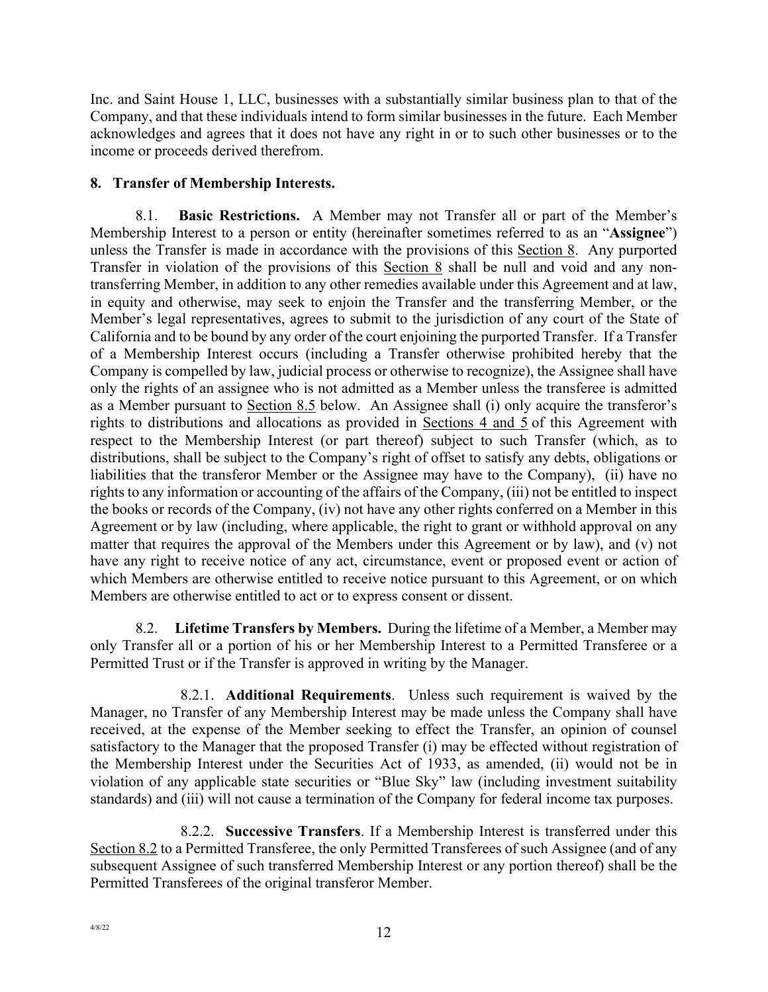Inc. and Saint House 1, LLC, businesses with a substantially similar business plan to that of the Company, and that these individuals intend to form similar businesses in the future. Each Member acknowledges and agrees that it does not have any right in or to such other businesses or to the income or proceeds derived therefrom.

## **8. Transfer of Membership Interests.**

8.1. **Basic Restrictions.** A Member may not Transfer all or part of the Member's Membership Interest to a person or entity (hereinafter sometimes referred to as an "**Assignee**") unless the Transfer is made in accordance with the provisions of this Section 8. Any purported Transfer in violation of the provisions of this Section 8 shall be null and void and any nontransferring Member, in addition to any other remedies available under this Agreement and at law, in equity and otherwise, may seek to enjoin the Transfer and the transferring Member, or the Member's legal representatives, agrees to submit to the jurisdiction of any court of the State of California and to be bound by any order of the court enjoining the purported Transfer. If a Transfer of a Membership Interest occurs (including a Transfer otherwise prohibited hereby that the Company is compelled by law, judicial process or otherwise to recognize), the Assignee shall have only the rights of an assignee who is not admitted as a Member unless the transferee is admitted as a Member pursuant to Section 8.5 below. An Assignee shall (i) only acquire the transferor's rights to distributions and allocations as provided in Sections 4 and 5 of this Agreement with respect to the Membership Interest (or part thereof) subject to such Transfer (which, as to distributions, shall be subject to the Company's right of offset to satisfy any debts, obligations or liabilities that the transferor Member or the Assignee may have to the Company), (ii) have no rights to any information or accounting of the affairs of the Company, (iii) not be entitled to inspect the books or records of the Company, (iv) not have any other rights conferred on a Member in this Agreement or by law (including, where applicable, the right to grant or withhold approval on any matter that requires the approval of the Members under this Agreement or by law), and (v) not have any right to receive notice of any act, circumstance, event or proposed event or action of which Members are otherwise entitled to receive notice pursuant to this Agreement, or on which Members are otherwise entitled to act or to express consent or dissent.

8.2. **Lifetime Transfers by Members.** During the lifetime of a Member, a Member may only Transfer all or a portion of his or her Membership Interest to a Permitted Transferee or a Permitted Trust or if the Transfer is approved in writing by the Manager.

8.2.1. **Additional Requirements**. Unless such requirement is waived by the Manager, no Transfer of any Membership Interest may be made unless the Company shall have received, at the expense of the Member seeking to effect the Transfer, an opinion of counsel satisfactory to the Manager that the proposed Transfer (i) may be effected without registration of the Membership Interest under the Securities Act of 1933, as amended, (ii) would not be in violation of any applicable state securities or "Blue Sky" law (including investment suitability standards) and (iii) will not cause a termination of the Company for federal income tax purposes.

8.2.2. **Successive Transfers**. If a Membership Interest is transferred under this Section 8.2 to a Permitted Transferee, the only Permitted Transferees of such Assignee (and of any subsequent Assignee of such transferred Membership Interest or any portion thereof) shall be the Permitted Transferees of the original transferor Member.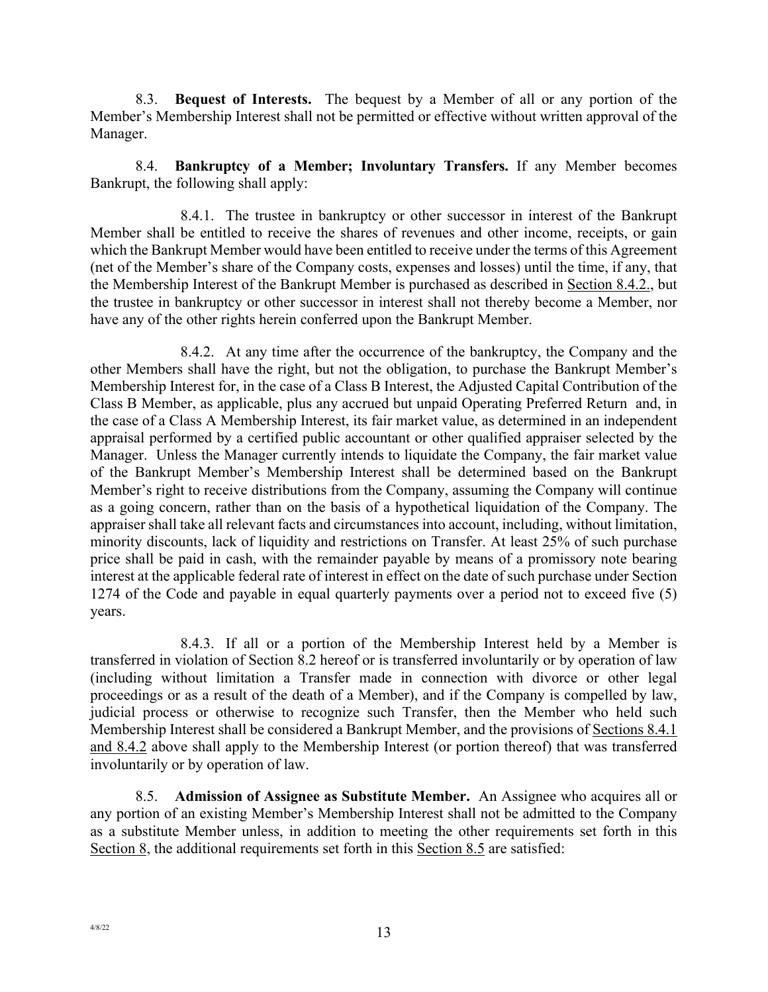8.3. **Bequest of Interests.** The bequest by a Member of all or any portion of the Member's Membership Interest shall not be permitted or effective without written approval of the Manager.

8.4. **Bankruptcy of a Member; Involuntary Transfers.** If any Member becomes Bankrupt, the following shall apply:

8.4.1. The trustee in bankruptcy or other successor in interest of the Bankrupt Member shall be entitled to receive the shares of revenues and other income, receipts, or gain which the Bankrupt Member would have been entitled to receive under the terms of this Agreement (net of the Member's share of the Company costs, expenses and losses) until the time, if any, that the Membership Interest of the Bankrupt Member is purchased as described in Section 8.4.2., but the trustee in bankruptcy or other successor in interest shall not thereby become a Member, nor have any of the other rights herein conferred upon the Bankrupt Member.

8.4.2. At any time after the occurrence of the bankruptcy, the Company and the other Members shall have the right, but not the obligation, to purchase the Bankrupt Member's Membership Interest for, in the case of a Class B Interest, the Adjusted Capital Contribution of the Class B Member, as applicable, plus any accrued but unpaid Operating Preferred Return and, in the case of a Class A Membership Interest, its fair market value, as determined in an independent appraisal performed by a certified public accountant or other qualified appraiser selected by the Manager. Unless the Manager currently intends to liquidate the Company, the fair market value of the Bankrupt Member's Membership Interest shall be determined based on the Bankrupt Member's right to receive distributions from the Company, assuming the Company will continue as a going concern, rather than on the basis of a hypothetical liquidation of the Company. The appraiser shall take all relevant facts and circumstances into account, including, without limitation, minority discounts, lack of liquidity and restrictions on Transfer. At least 25% of such purchase price shall be paid in cash, with the remainder payable by means of a promissory note bearing interest at the applicable federal rate of interest in effect on the date of such purchase under Section 1274 of the Code and payable in equal quarterly payments over a period not to exceed five (5) years.

8.4.3. If all or a portion of the Membership Interest held by a Member is transferred in violation of Section 8.2 hereof or is transferred involuntarily or by operation of law (including without limitation a Transfer made in connection with divorce or other legal proceedings or as a result of the death of a Member), and if the Company is compelled by law, judicial process or otherwise to recognize such Transfer, then the Member who held such Membership Interest shall be considered a Bankrupt Member, and the provisions of Sections 8.4.1 and 8.4.2 above shall apply to the Membership Interest (or portion thereof) that was transferred involuntarily or by operation of law.

8.5. **Admission of Assignee as Substitute Member.** An Assignee who acquires all or any portion of an existing Member's Membership Interest shall not be admitted to the Company as a substitute Member unless, in addition to meeting the other requirements set forth in this Section 8, the additional requirements set forth in this Section 8.5 are satisfied: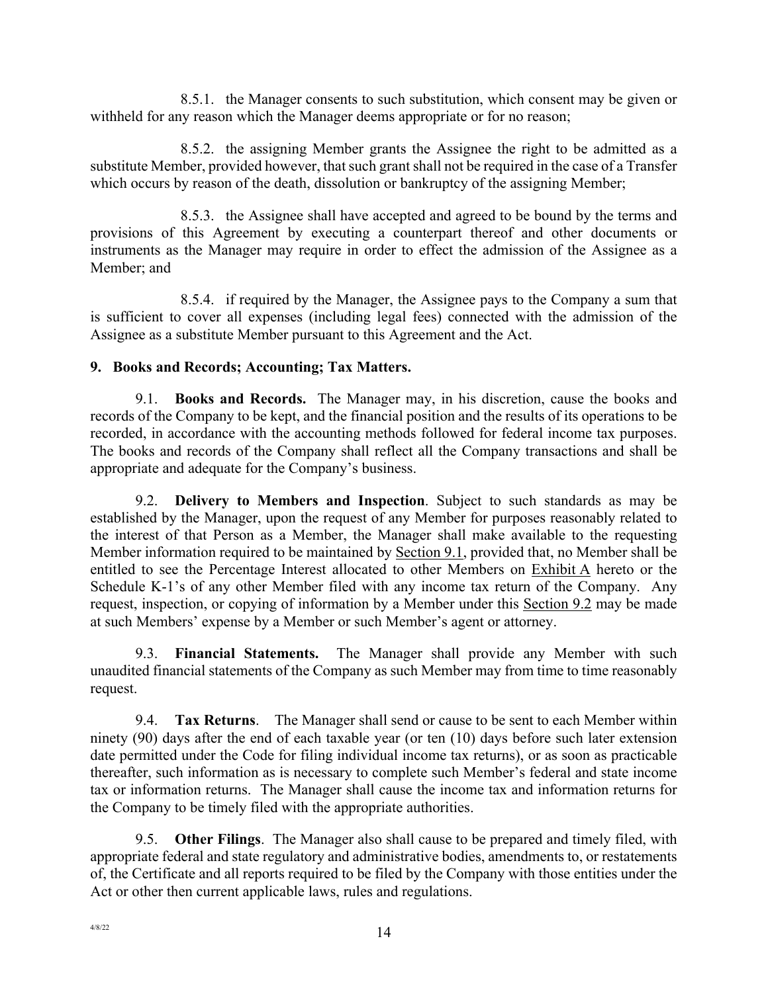8.5.1. the Manager consents to such substitution, which consent may be given or withheld for any reason which the Manager deems appropriate or for no reason;

8.5.2. the assigning Member grants the Assignee the right to be admitted as a substitute Member, provided however, that such grant shall not be required in the case of a Transfer which occurs by reason of the death, dissolution or bankruptcy of the assigning Member;

8.5.3. the Assignee shall have accepted and agreed to be bound by the terms and provisions of this Agreement by executing a counterpart thereof and other documents or instruments as the Manager may require in order to effect the admission of the Assignee as a Member; and

8.5.4. if required by the Manager, the Assignee pays to the Company a sum that is sufficient to cover all expenses (including legal fees) connected with the admission of the Assignee as a substitute Member pursuant to this Agreement and the Act.

### **9. Books and Records; Accounting; Tax Matters.**

9.1. **Books and Records.** The Manager may, in his discretion, cause the books and records of the Company to be kept, and the financial position and the results of its operations to be recorded, in accordance with the accounting methods followed for federal income tax purposes. The books and records of the Company shall reflect all the Company transactions and shall be appropriate and adequate for the Company's business.

9.2. **Delivery to Members and Inspection**. Subject to such standards as may be established by the Manager, upon the request of any Member for purposes reasonably related to the interest of that Person as a Member, the Manager shall make available to the requesting Member information required to be maintained by Section 9.1, provided that, no Member shall be entitled to see the Percentage Interest allocated to other Members on Exhibit A hereto or the Schedule K-1's of any other Member filed with any income tax return of the Company. Any request, inspection, or copying of information by a Member under this Section 9.2 may be made at such Members' expense by a Member or such Member's agent or attorney.

9.3. **Financial Statements.** The Manager shall provide any Member with such unaudited financial statements of the Company as such Member may from time to time reasonably request.

9.4. **Tax Returns**. The Manager shall send or cause to be sent to each Member within ninety (90) days after the end of each taxable year (or ten (10) days before such later extension date permitted under the Code for filing individual income tax returns), or as soon as practicable thereafter, such information as is necessary to complete such Member's federal and state income tax or information returns. The Manager shall cause the income tax and information returns for the Company to be timely filed with the appropriate authorities.

9.5. **Other Filings**. The Manager also shall cause to be prepared and timely filed, with appropriate federal and state regulatory and administrative bodies, amendments to, or restatements of, the Certificate and all reports required to be filed by the Company with those entities under the Act or other then current applicable laws, rules and regulations.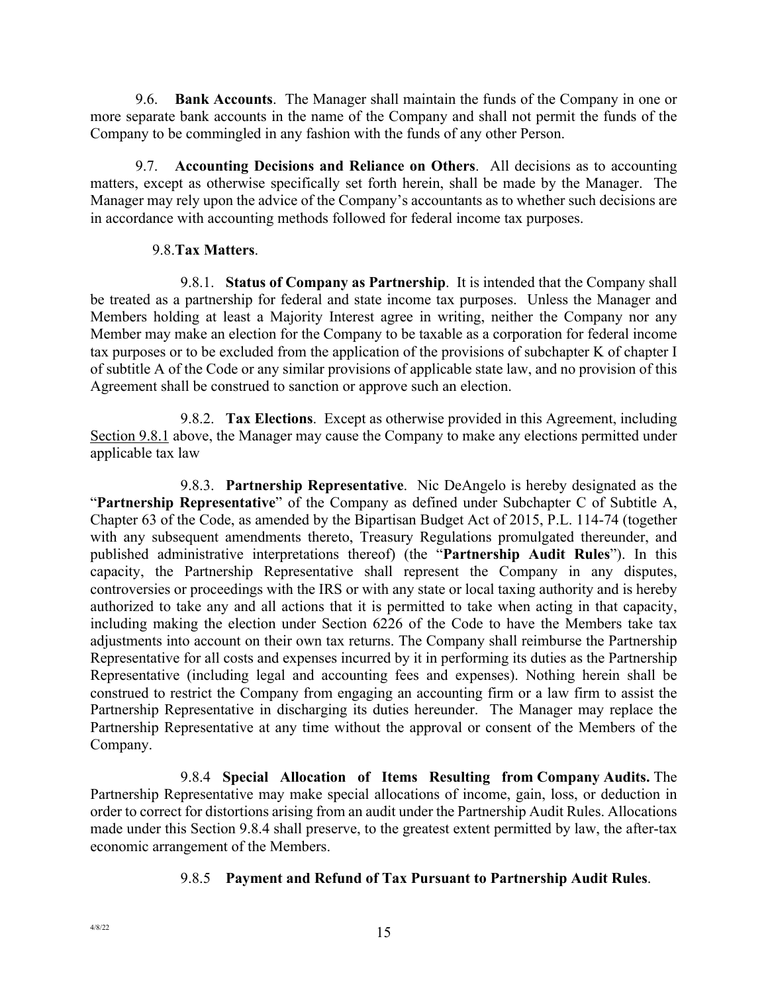9.6. **Bank Accounts**. The Manager shall maintain the funds of the Company in one or more separate bank accounts in the name of the Company and shall not permit the funds of the Company to be commingled in any fashion with the funds of any other Person.

9.7. **Accounting Decisions and Reliance on Others**. All decisions as to accounting matters, except as otherwise specifically set forth herein, shall be made by the Manager. The Manager may rely upon the advice of the Company's accountants as to whether such decisions are in accordance with accounting methods followed for federal income tax purposes.

#### 9.8.**Tax Matters**.

9.8.1. **Status of Company as Partnership**. It is intended that the Company shall be treated as a partnership for federal and state income tax purposes. Unless the Manager and Members holding at least a Majority Interest agree in writing, neither the Company nor any Member may make an election for the Company to be taxable as a corporation for federal income tax purposes or to be excluded from the application of the provisions of subchapter K of chapter I of subtitle A of the Code or any similar provisions of applicable state law, and no provision of this Agreement shall be construed to sanction or approve such an election.

9.8.2. **Tax Elections**. Except as otherwise provided in this Agreement, including Section 9.8.1 above, the Manager may cause the Company to make any elections permitted under applicable tax law

9.8.3. **Partnership Representative**. Nic DeAngelo is hereby designated as the "**Partnership Representative**" of the Company as defined under Subchapter C of Subtitle A, Chapter 63 of the Code, as amended by the Bipartisan Budget Act of 2015, P.L. 114-74 (together with any subsequent amendments thereto, Treasury Regulations promulgated thereunder, and published administrative interpretations thereof) (the "**Partnership Audit Rules**"). In this capacity, the Partnership Representative shall represent the Company in any disputes, controversies or proceedings with the IRS or with any state or local taxing authority and is hereby authorized to take any and all actions that it is permitted to take when acting in that capacity, including making the election under Section 6226 of the Code to have the Members take tax adjustments into account on their own tax returns. The Company shall reimburse the Partnership Representative for all costs and expenses incurred by it in performing its duties as the Partnership Representative (including legal and accounting fees and expenses). Nothing herein shall be construed to restrict the Company from engaging an accounting firm or a law firm to assist the Partnership Representative in discharging its duties hereunder. The Manager may replace the Partnership Representative at any time without the approval or consent of the Members of the Company.

9.8.4 **Special Allocation of Items Resulting from Company Audits.** The Partnership Representative may make special allocations of income, gain, loss, or deduction in order to correct for distortions arising from an audit under the Partnership Audit Rules. Allocations made under this Section 9.8.4 shall preserve, to the greatest extent permitted by law, the after-tax economic arrangement of the Members.

### 9.8.5 **Payment and Refund of Tax Pursuant to Partnership Audit Rules**.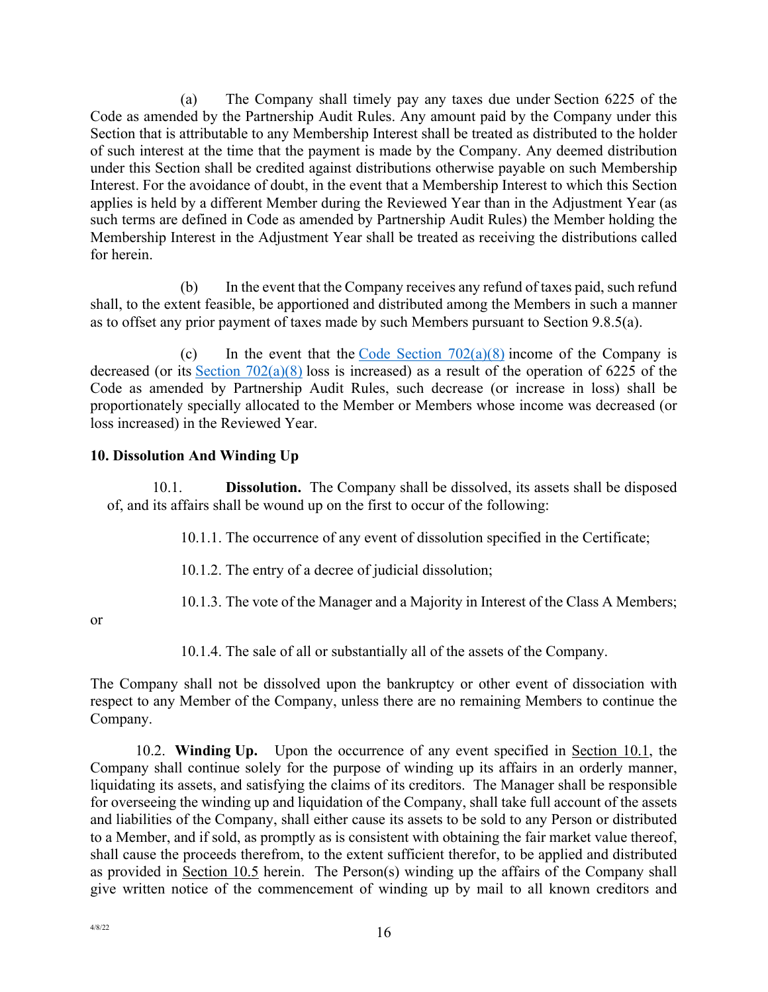(a) The Company shall timely pay any taxes due under Section 6225 of the Code as amended by the Partnership Audit Rules. Any amount paid by the Company under this Section that is attributable to any Membership Interest shall be treated as distributed to the holder of such interest at the time that the payment is made by the Company. Any deemed distribution under this Section shall be credited against distributions otherwise payable on such Membership Interest. For the avoidance of doubt, in the event that a Membership Interest to which this Section applies is held by a different Member during the Reviewed Year than in the Adjustment Year (as such terms are defined in Code as amended by Partnership Audit Rules) the Member holding the Membership Interest in the Adjustment Year shall be treated as receiving the distributions called for herein.

(b) In the event that the Company receives any refund of taxes paid, such refund shall, to the extent feasible, be apportioned and distributed among the Members in such a manner as to offset any prior payment of taxes made by such Members pursuant to Section 9.8.5(a).

(c) In the event that the Code Section  $702(a)(8)$  income of the Company is decreased (or its Section  $702(a)(8)$  loss is increased) as a result of the operation of 6225 of the Code as amended by Partnership Audit Rules, such decrease (or increase in loss) shall be proportionately specially allocated to the Member or Members whose income was decreased (or loss increased) in the Reviewed Year.

### **10. Dissolution And Winding Up**

10.1. **Dissolution.** The Company shall be dissolved, its assets shall be disposed of, and its affairs shall be wound up on the first to occur of the following:

10.1.1. The occurrence of any event of dissolution specified in the Certificate;

10.1.2. The entry of a decree of judicial dissolution;

10.1.3. The vote of the Manager and a Majority in Interest of the Class A Members;

or

10.1.4. The sale of all or substantially all of the assets of the Company.

The Company shall not be dissolved upon the bankruptcy or other event of dissociation with respect to any Member of the Company, unless there are no remaining Members to continue the Company.

10.2. **Winding Up.** Upon the occurrence of any event specified in Section 10.1, the Company shall continue solely for the purpose of winding up its affairs in an orderly manner, liquidating its assets, and satisfying the claims of its creditors. The Manager shall be responsible for overseeing the winding up and liquidation of the Company, shall take full account of the assets and liabilities of the Company, shall either cause its assets to be sold to any Person or distributed to a Member, and if sold, as promptly as is consistent with obtaining the fair market value thereof, shall cause the proceeds therefrom, to the extent sufficient therefor, to be applied and distributed as provided in Section 10.5 herein. The Person(s) winding up the affairs of the Company shall give written notice of the commencement of winding up by mail to all known creditors and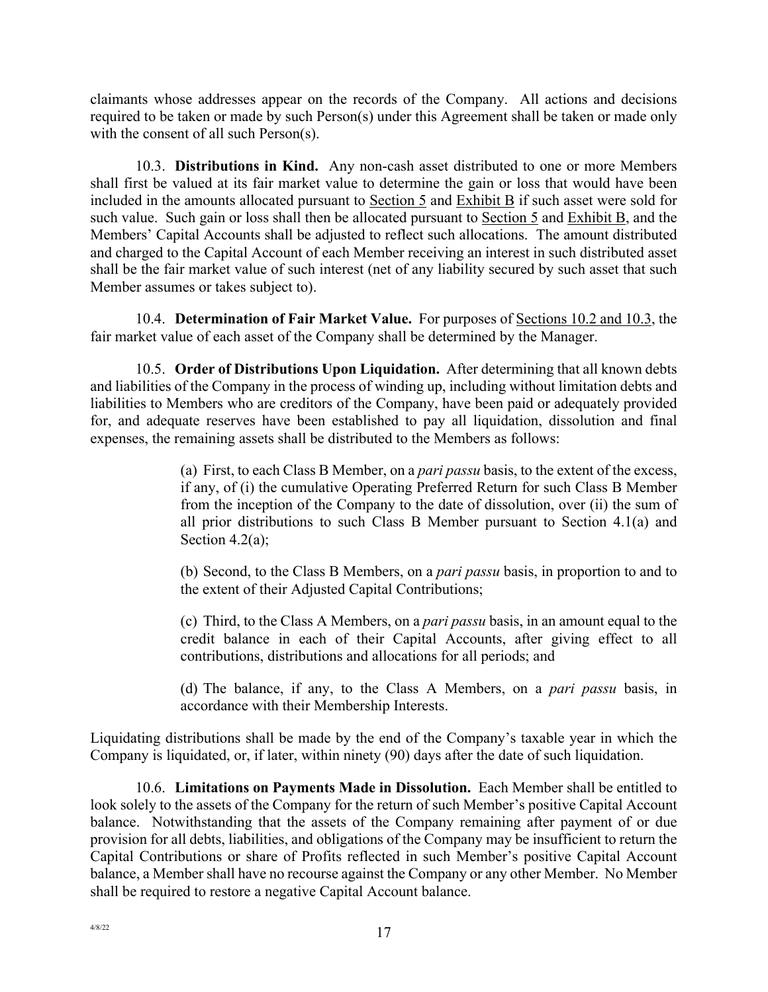claimants whose addresses appear on the records of the Company. All actions and decisions required to be taken or made by such Person(s) under this Agreement shall be taken or made only with the consent of all such Person(s).

10.3. **Distributions in Kind.** Any non-cash asset distributed to one or more Members shall first be valued at its fair market value to determine the gain or loss that would have been included in the amounts allocated pursuant to Section 5 and Exhibit B if such asset were sold for such value. Such gain or loss shall then be allocated pursuant to Section 5 and Exhibit B, and the Members' Capital Accounts shall be adjusted to reflect such allocations. The amount distributed and charged to the Capital Account of each Member receiving an interest in such distributed asset shall be the fair market value of such interest (net of any liability secured by such asset that such Member assumes or takes subject to).

10.4. **Determination of Fair Market Value.** For purposes of Sections 10.2 and 10.3, the fair market value of each asset of the Company shall be determined by the Manager.

10.5. **Order of Distributions Upon Liquidation.** After determining that all known debts and liabilities of the Company in the process of winding up, including without limitation debts and liabilities to Members who are creditors of the Company, have been paid or adequately provided for, and adequate reserves have been established to pay all liquidation, dissolution and final expenses, the remaining assets shall be distributed to the Members as follows:

> (a) First, to each Class B Member, on a *pari passu* basis, to the extent of the excess, if any, of (i) the cumulative Operating Preferred Return for such Class B Member from the inception of the Company to the date of dissolution, over (ii) the sum of all prior distributions to such Class B Member pursuant to Section 4.1(a) and Section 4.2(a);

> (b) Second, to the Class B Members, on a *pari passu* basis, in proportion to and to the extent of their Adjusted Capital Contributions;

> (c) Third, to the Class A Members, on a *pari passu* basis, in an amount equal to the credit balance in each of their Capital Accounts, after giving effect to all contributions, distributions and allocations for all periods; and

> (d) The balance, if any, to the Class A Members, on a *pari passu* basis, in accordance with their Membership Interests.

Liquidating distributions shall be made by the end of the Company's taxable year in which the Company is liquidated, or, if later, within ninety (90) days after the date of such liquidation.

10.6. **Limitations on Payments Made in Dissolution.** Each Member shall be entitled to look solely to the assets of the Company for the return of such Member's positive Capital Account balance. Notwithstanding that the assets of the Company remaining after payment of or due provision for all debts, liabilities, and obligations of the Company may be insufficient to return the Capital Contributions or share of Profits reflected in such Member's positive Capital Account balance, a Member shall have no recourse against the Company or any other Member. No Member shall be required to restore a negative Capital Account balance.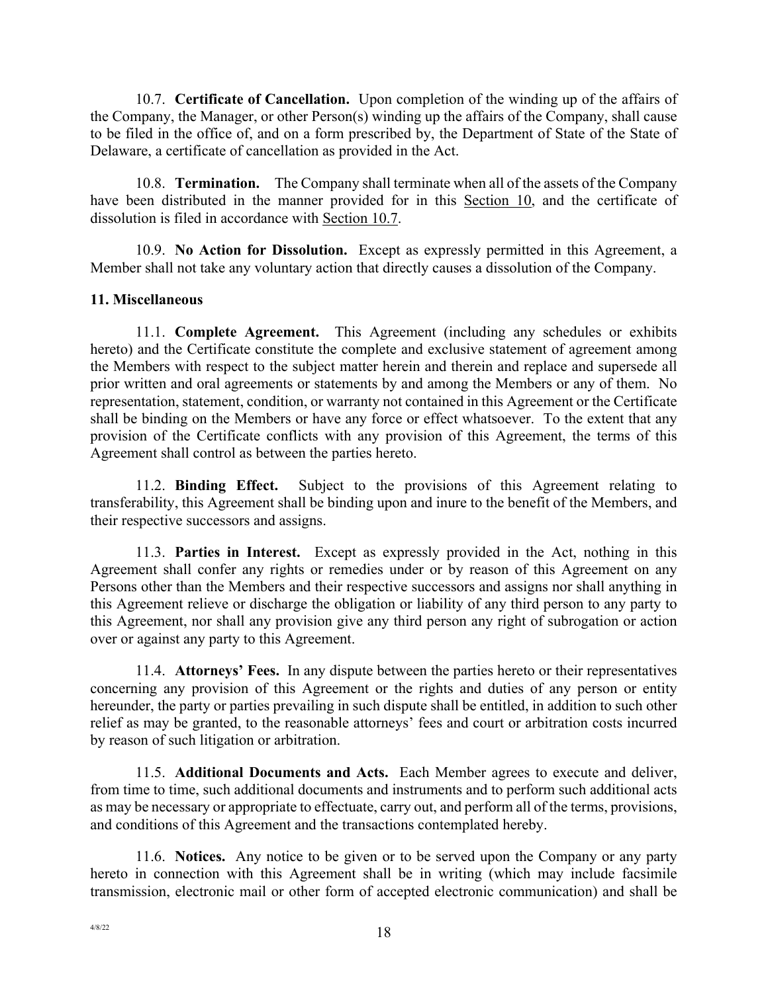10.7. **Certificate of Cancellation.** Upon completion of the winding up of the affairs of the Company, the Manager, or other Person(s) winding up the affairs of the Company, shall cause to be filed in the office of, and on a form prescribed by, the Department of State of the State of Delaware, a certificate of cancellation as provided in the Act.

10.8. **Termination.** The Company shall terminate when all of the assets of the Company have been distributed in the manner provided for in this Section 10, and the certificate of dissolution is filed in accordance with Section 10.7.

10.9. **No Action for Dissolution.** Except as expressly permitted in this Agreement, a Member shall not take any voluntary action that directly causes a dissolution of the Company.

### **11. Miscellaneous**

11.1. **Complete Agreement.** This Agreement (including any schedules or exhibits hereto) and the Certificate constitute the complete and exclusive statement of agreement among the Members with respect to the subject matter herein and therein and replace and supersede all prior written and oral agreements or statements by and among the Members or any of them. No representation, statement, condition, or warranty not contained in this Agreement or the Certificate shall be binding on the Members or have any force or effect whatsoever. To the extent that any provision of the Certificate conflicts with any provision of this Agreement, the terms of this Agreement shall control as between the parties hereto.

11.2. **Binding Effect.** Subject to the provisions of this Agreement relating to transferability, this Agreement shall be binding upon and inure to the benefit of the Members, and their respective successors and assigns.

11.3. **Parties in Interest.** Except as expressly provided in the Act, nothing in this Agreement shall confer any rights or remedies under or by reason of this Agreement on any Persons other than the Members and their respective successors and assigns nor shall anything in this Agreement relieve or discharge the obligation or liability of any third person to any party to this Agreement, nor shall any provision give any third person any right of subrogation or action over or against any party to this Agreement.

11.4. **Attorneys' Fees.** In any dispute between the parties hereto or their representatives concerning any provision of this Agreement or the rights and duties of any person or entity hereunder, the party or parties prevailing in such dispute shall be entitled, in addition to such other relief as may be granted, to the reasonable attorneys' fees and court or arbitration costs incurred by reason of such litigation or arbitration.

11.5. **Additional Documents and Acts.** Each Member agrees to execute and deliver, from time to time, such additional documents and instruments and to perform such additional acts as may be necessary or appropriate to effectuate, carry out, and perform all of the terms, provisions, and conditions of this Agreement and the transactions contemplated hereby.

11.6. **Notices.** Any notice to be given or to be served upon the Company or any party hereto in connection with this Agreement shall be in writing (which may include facsimile transmission, electronic mail or other form of accepted electronic communication) and shall be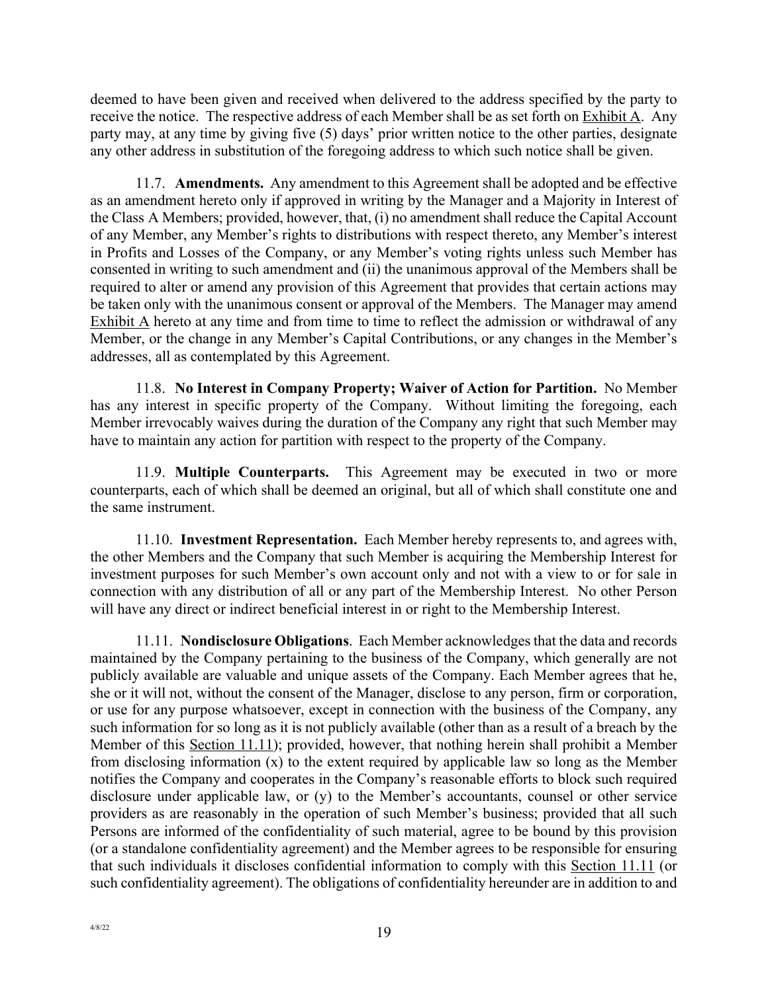deemed to have been given and received when delivered to the address specified by the party to receive the notice. The respective address of each Member shall be as set forth on  $\overline{\text{Exhibit A}}$ . Any party may, at any time by giving five (5) days' prior written notice to the other parties, designate any other address in substitution of the foregoing address to which such notice shall be given.

11.7. **Amendments.** Any amendment to this Agreement shall be adopted and be effective as an amendment hereto only if approved in writing by the Manager and a Majority in Interest of the Class A Members; provided, however, that, (i) no amendment shall reduce the Capital Account of any Member, any Member's rights to distributions with respect thereto, any Member's interest in Profits and Losses of the Company, or any Member's voting rights unless such Member has consented in writing to such amendment and (ii) the unanimous approval of the Members shall be required to alter or amend any provision of this Agreement that provides that certain actions may be taken only with the unanimous consent or approval of the Members. The Manager may amend Exhibit A hereto at any time and from time to time to reflect the admission or withdrawal of any Member, or the change in any Member's Capital Contributions, or any changes in the Member's addresses, all as contemplated by this Agreement.

11.8. **No Interest in Company Property; Waiver of Action for Partition.** No Member has any interest in specific property of the Company. Without limiting the foregoing, each Member irrevocably waives during the duration of the Company any right that such Member may have to maintain any action for partition with respect to the property of the Company.

11.9. **Multiple Counterparts.** This Agreement may be executed in two or more counterparts, each of which shall be deemed an original, but all of which shall constitute one and the same instrument.

11.10. **Investment Representation.** Each Member hereby represents to, and agrees with, the other Members and the Company that such Member is acquiring the Membership Interest for investment purposes for such Member's own account only and not with a view to or for sale in connection with any distribution of all or any part of the Membership Interest. No other Person will have any direct or indirect beneficial interest in or right to the Membership Interest.

11.11. **Nondisclosure Obligations**. Each Member acknowledges that the data and records maintained by the Company pertaining to the business of the Company, which generally are not publicly available are valuable and unique assets of the Company. Each Member agrees that he, she or it will not, without the consent of the Manager, disclose to any person, firm or corporation, or use for any purpose whatsoever, except in connection with the business of the Company, any such information for so long as it is not publicly available (other than as a result of a breach by the Member of this Section 11.11); provided, however, that nothing herein shall prohibit a Member from disclosing information (x) to the extent required by applicable law so long as the Member notifies the Company and cooperates in the Company's reasonable efforts to block such required disclosure under applicable law, or (y) to the Member's accountants, counsel or other service providers as are reasonably in the operation of such Member's business; provided that all such Persons are informed of the confidentiality of such material, agree to be bound by this provision (or a standalone confidentiality agreement) and the Member agrees to be responsible for ensuring that such individuals it discloses confidential information to comply with this Section 11.11 (or such confidentiality agreement). The obligations of confidentiality hereunder are in addition to and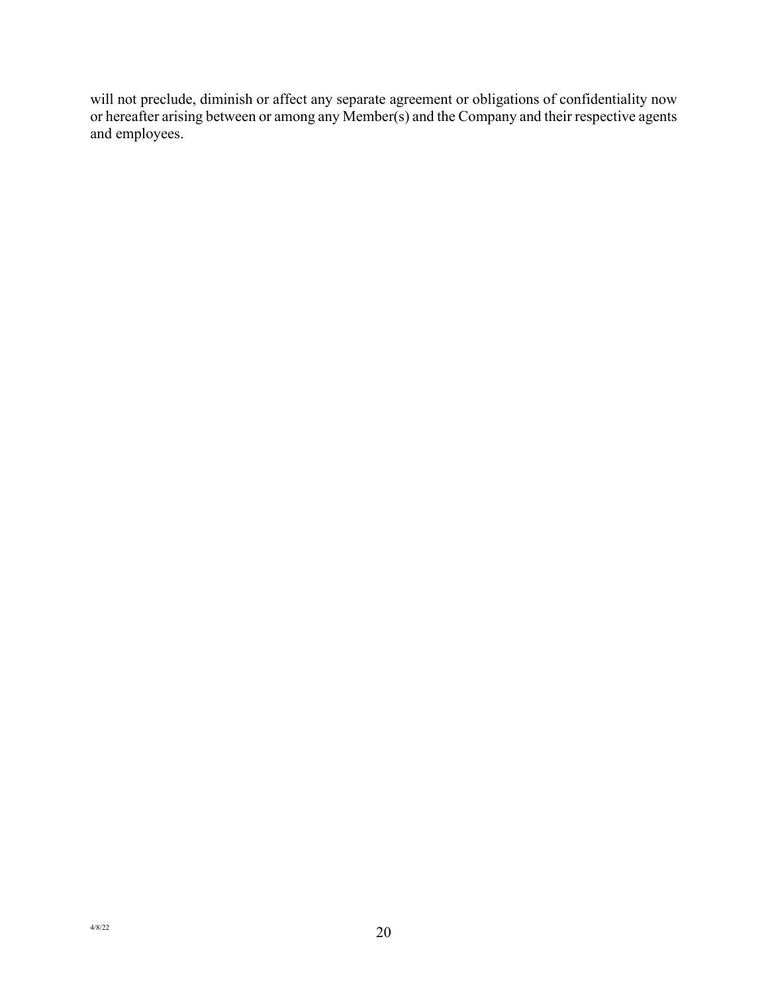will not preclude, diminish or affect any separate agreement or obligations of confidentiality now or hereafter arising between or among any Member(s) and the Company and their respective agents and employees.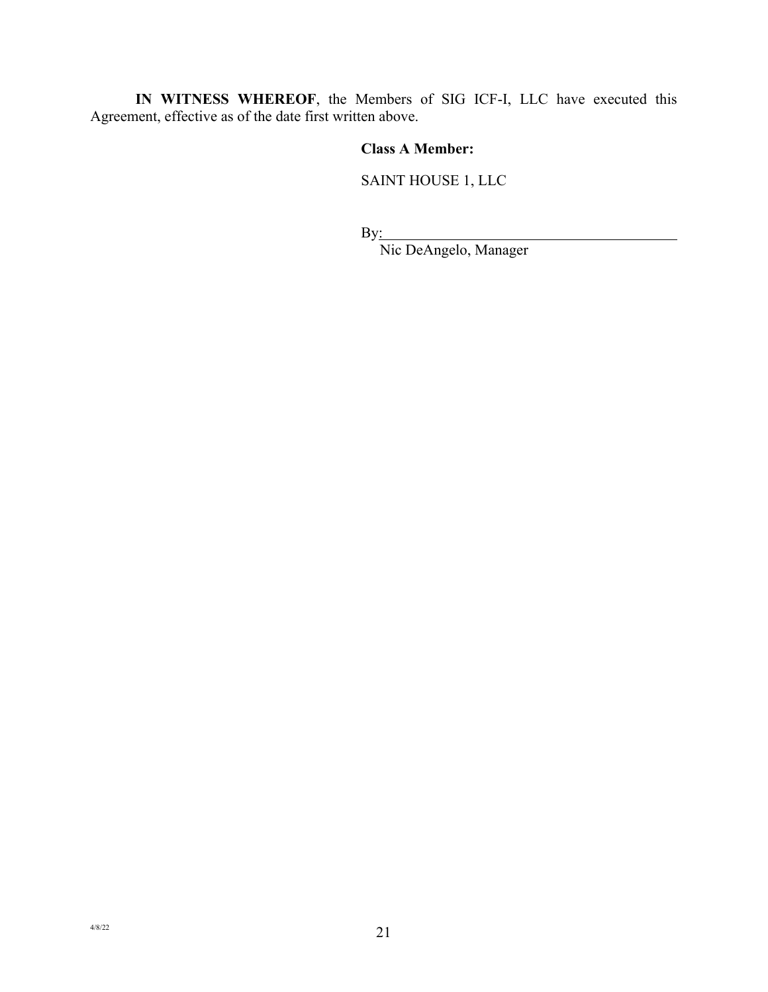**IN WITNESS WHEREOF**, the Members of SIG ICF-I, LLC have executed this Agreement, effective as of the date first written above.

## **Class A Member:**

SAINT HOUSE 1, LLC

By:

Nic DeAngelo, Manager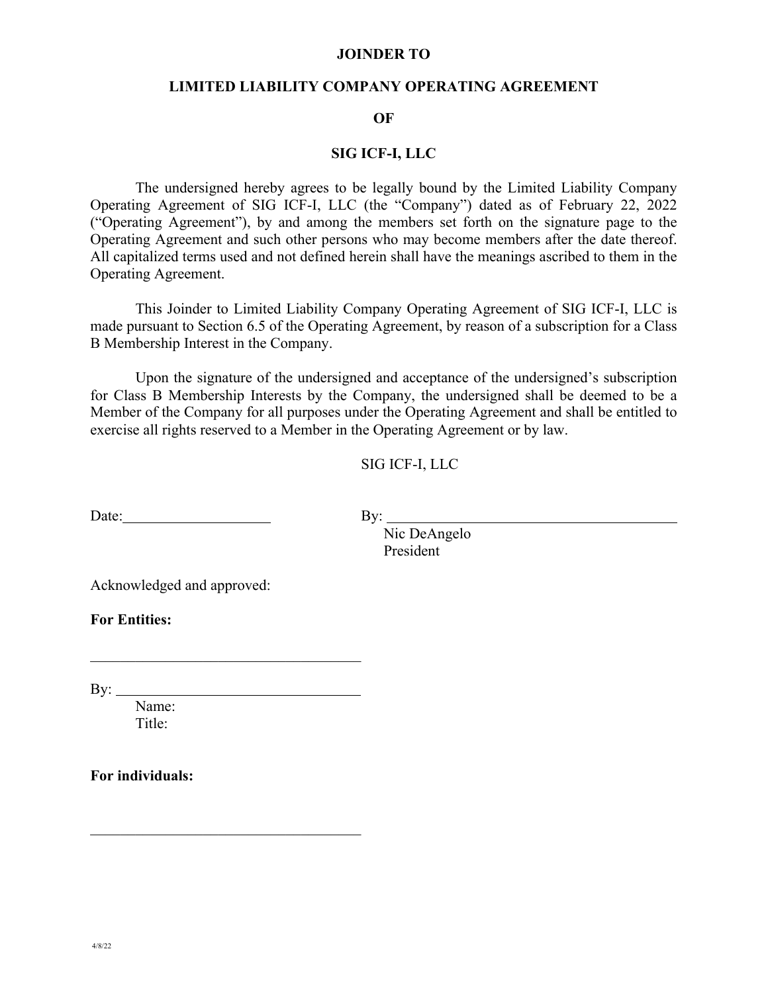#### **JOINDER TO**

#### **LIMITED LIABILITY COMPANY OPERATING AGREEMENT**

#### **OF**

#### **SIG ICF-I, LLC**

The undersigned hereby agrees to be legally bound by the Limited Liability Company Operating Agreement of SIG ICF-I, LLC (the "Company") dated as of February 22, 2022 ("Operating Agreement"), by and among the members set forth on the signature page to the Operating Agreement and such other persons who may become members after the date thereof. All capitalized terms used and not defined herein shall have the meanings ascribed to them in the Operating Agreement.

This Joinder to Limited Liability Company Operating Agreement of SIG ICF-I, LLC is made pursuant to Section 6.5 of the Operating Agreement, by reason of a subscription for a Class B Membership Interest in the Company.

Upon the signature of the undersigned and acceptance of the undersigned's subscription for Class B Membership Interests by the Company, the undersigned shall be deemed to be a Member of the Company for all purposes under the Operating Agreement and shall be entitled to exercise all rights reserved to a Member in the Operating Agreement or by law.

SIG ICF-I, LLC

Date: By: By:

Nic DeAngelo President

Acknowledged and approved:

**For Entities:**

By:  $\_\_$ 

Name: Title:

**For individuals:**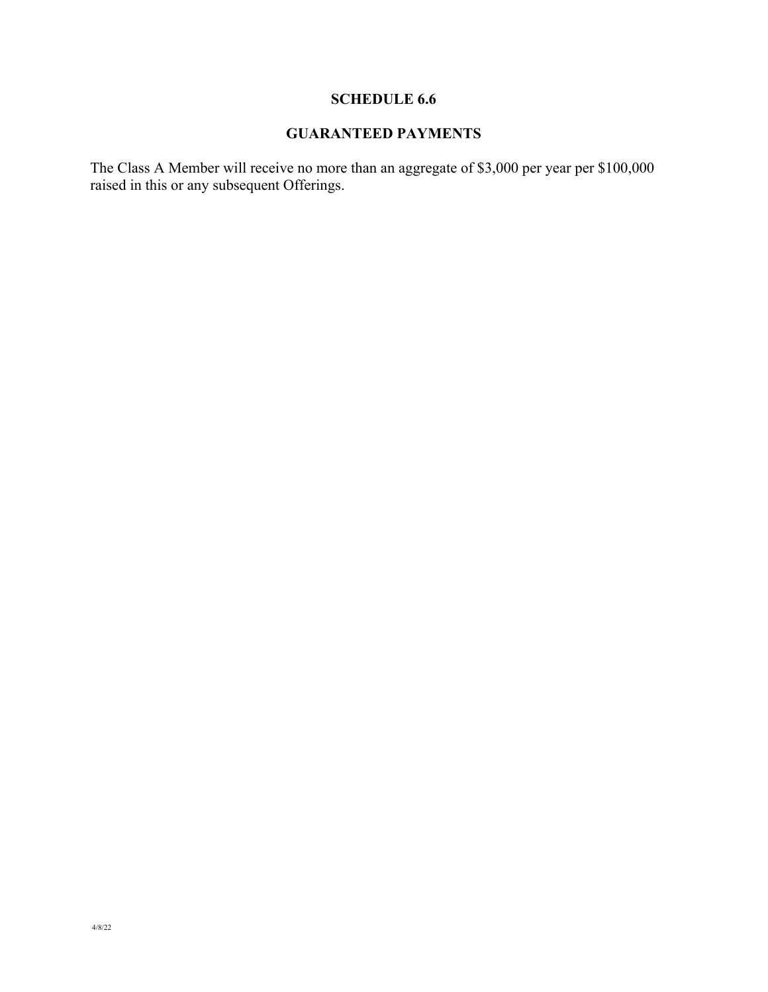# **SCHEDULE 6.6**

# **GUARANTEED PAYMENTS**

The Class A Member will receive no more than an aggregate of \$3,000 per year per \$100,000 raised in this or any subsequent Offerings.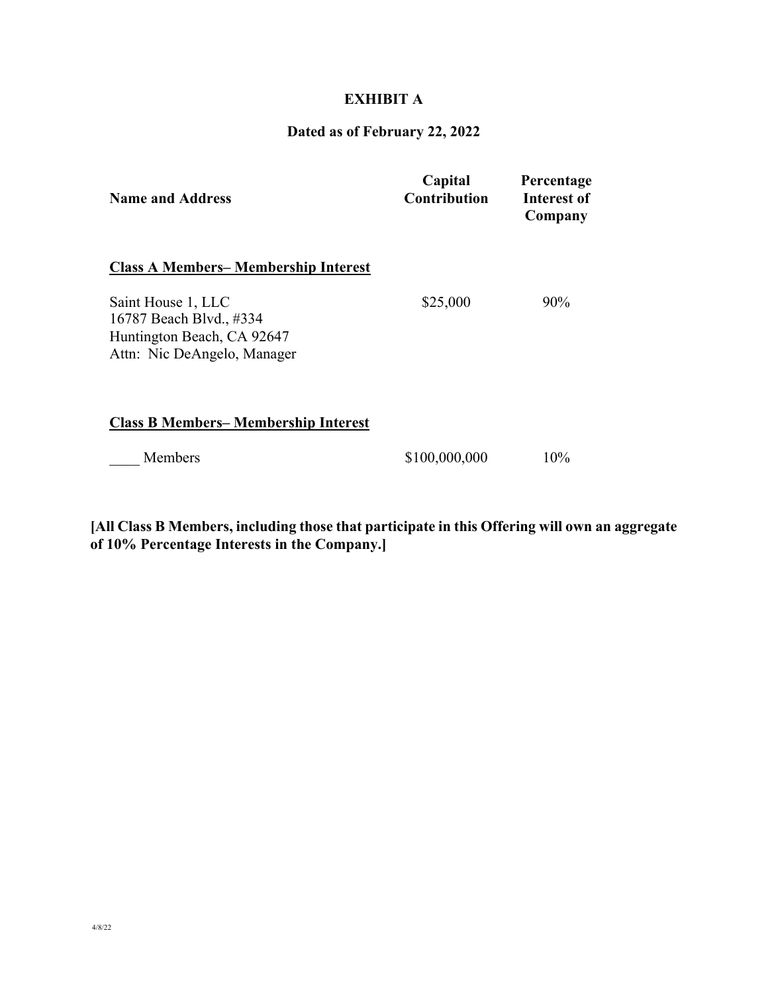# **EXHIBIT A**

#### **Dated as of February 22, 2022**

| <b>Name and Address</b>                                                                                    | Capital<br><b>Contribution</b> | Percentage<br>Interest of<br>Company |
|------------------------------------------------------------------------------------------------------------|--------------------------------|--------------------------------------|
| <b>Class A Members– Membership Interest</b>                                                                |                                |                                      |
| Saint House 1, LLC<br>16787 Beach Blvd., #334<br>Huntington Beach, CA 92647<br>Attn: Nic DeAngelo, Manager | \$25,000                       | $90\%$                               |
| <b>Class B Members– Membership Interest</b>                                                                |                                |                                      |
| Members                                                                                                    | \$100,000,000                  | 10%                                  |

**[All Class B Members, including those that participate in this Offering will own an aggregate of 10% Percentage Interests in the Company.]**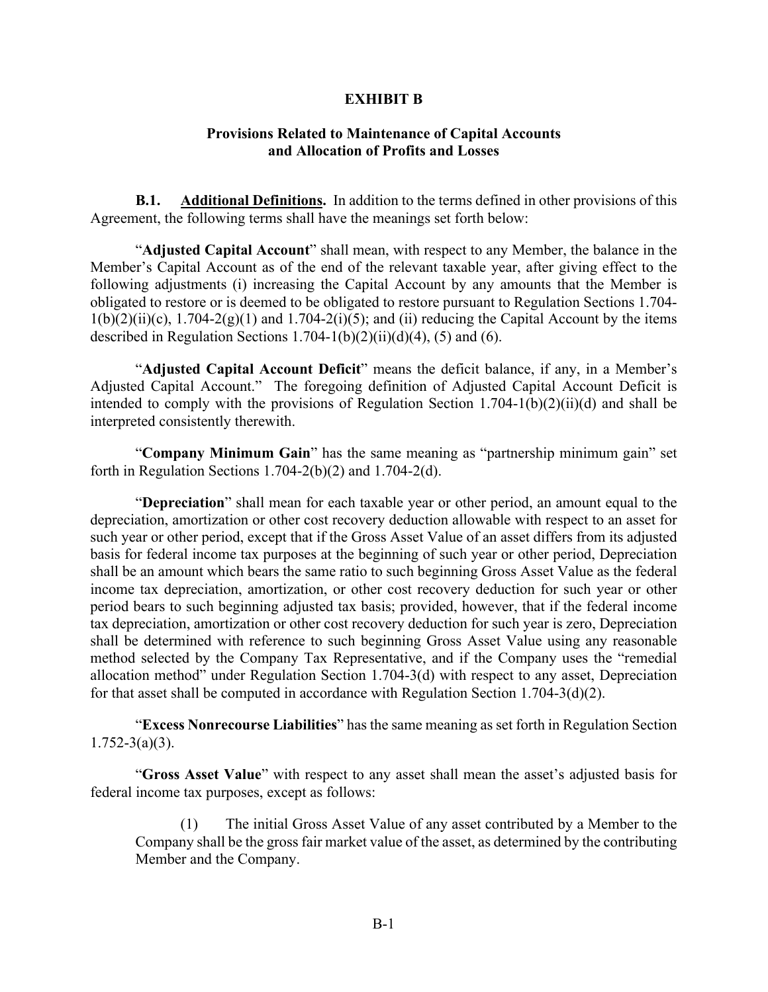#### **EXHIBIT B**

#### **Provisions Related to Maintenance of Capital Accounts and Allocation of Profits and Losses**

**B.1. Additional Definitions.** In addition to the terms defined in other provisions of this Agreement, the following terms shall have the meanings set forth below:

"**Adjusted Capital Account**" shall mean, with respect to any Member, the balance in the Member's Capital Account as of the end of the relevant taxable year, after giving effect to the following adjustments (i) increasing the Capital Account by any amounts that the Member is obligated to restore or is deemed to be obligated to restore pursuant to Regulation Sections 1.704-  $1(b)(2)(ii)(c)$ ,  $1.704-2(g)(1)$  and  $1.704-2(i)(5)$ ; and (ii) reducing the Capital Account by the items described in Regulation Sections  $1.704-1(b)(2)(ii)(d)(4)$ , (5) and (6).

"**Adjusted Capital Account Deficit**" means the deficit balance, if any, in a Member's Adjusted Capital Account." The foregoing definition of Adjusted Capital Account Deficit is intended to comply with the provisions of Regulation Section 1.704-1(b)(2)(ii)(d) and shall be interpreted consistently therewith.

"**Company Minimum Gain**" has the same meaning as "partnership minimum gain" set forth in Regulation Sections  $1.704-2(b)(2)$  and  $1.704-2(d)$ .

"**Depreciation**" shall mean for each taxable year or other period, an amount equal to the depreciation, amortization or other cost recovery deduction allowable with respect to an asset for such year or other period, except that if the Gross Asset Value of an asset differs from its adjusted basis for federal income tax purposes at the beginning of such year or other period, Depreciation shall be an amount which bears the same ratio to such beginning Gross Asset Value as the federal income tax depreciation, amortization, or other cost recovery deduction for such year or other period bears to such beginning adjusted tax basis; provided, however, that if the federal income tax depreciation, amortization or other cost recovery deduction for such year is zero, Depreciation shall be determined with reference to such beginning Gross Asset Value using any reasonable method selected by the Company Tax Representative, and if the Company uses the "remedial allocation method" under Regulation Section 1.704-3(d) with respect to any asset, Depreciation for that asset shall be computed in accordance with Regulation Section 1.704-3(d)(2).

"**Excess Nonrecourse Liabilities**" has the same meaning as set forth in Regulation Section  $1.752 - 3(a)(3)$ .

"**Gross Asset Value**" with respect to any asset shall mean the asset's adjusted basis for federal income tax purposes, except as follows:

(1) The initial Gross Asset Value of any asset contributed by a Member to the Company shall be the gross fair market value of the asset, as determined by the contributing Member and the Company.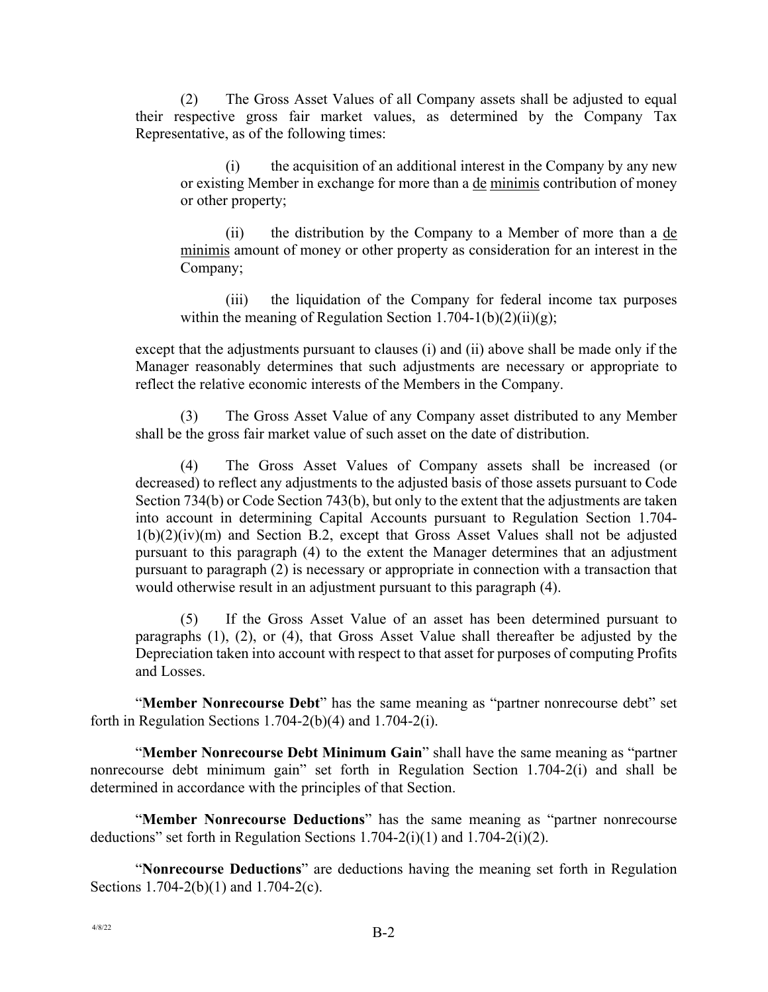(2) The Gross Asset Values of all Company assets shall be adjusted to equal their respective gross fair market values, as determined by the Company Tax Representative, as of the following times:

(i) the acquisition of an additional interest in the Company by any new or existing Member in exchange for more than a <u>de minimis</u> contribution of money or other property;

(ii) the distribution by the Company to a Member of more than a de minimis amount of money or other property as consideration for an interest in the Company;

(iii) the liquidation of the Company for federal income tax purposes within the meaning of Regulation Section  $1.704-1(b)(2)(ii)(g)$ ;

except that the adjustments pursuant to clauses (i) and (ii) above shall be made only if the Manager reasonably determines that such adjustments are necessary or appropriate to reflect the relative economic interests of the Members in the Company.

(3) The Gross Asset Value of any Company asset distributed to any Member shall be the gross fair market value of such asset on the date of distribution.

(4) The Gross Asset Values of Company assets shall be increased (or decreased) to reflect any adjustments to the adjusted basis of those assets pursuant to Code Section 734(b) or Code Section 743(b), but only to the extent that the adjustments are taken into account in determining Capital Accounts pursuant to Regulation Section 1.704- 1(b)(2)(iv)(m) and Section B.2, except that Gross Asset Values shall not be adjusted pursuant to this paragraph (4) to the extent the Manager determines that an adjustment pursuant to paragraph (2) is necessary or appropriate in connection with a transaction that would otherwise result in an adjustment pursuant to this paragraph (4).

(5) If the Gross Asset Value of an asset has been determined pursuant to paragraphs (1), (2), or (4), that Gross Asset Value shall thereafter be adjusted by the Depreciation taken into account with respect to that asset for purposes of computing Profits and Losses.

"**Member Nonrecourse Debt**" has the same meaning as "partner nonrecourse debt" set forth in Regulation Sections 1.704-2(b)(4) and 1.704-2(i).

"**Member Nonrecourse Debt Minimum Gain**" shall have the same meaning as "partner nonrecourse debt minimum gain" set forth in Regulation Section 1.704-2(i) and shall be determined in accordance with the principles of that Section.

"**Member Nonrecourse Deductions**" has the same meaning as "partner nonrecourse deductions" set forth in Regulation Sections 1.704-2(i)(1) and 1.704-2(i)(2).

"**Nonrecourse Deductions**" are deductions having the meaning set forth in Regulation Sections 1.704-2(b)(1) and 1.704-2(c).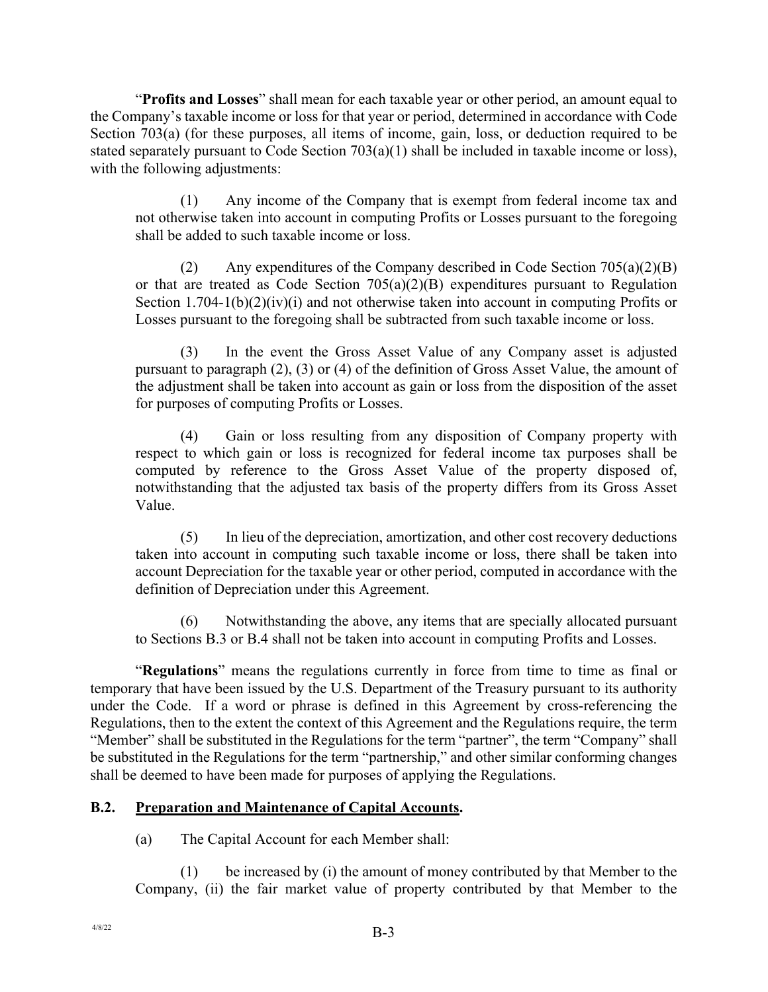"**Profits and Losses**" shall mean for each taxable year or other period, an amount equal to the Company's taxable income or loss for that year or period, determined in accordance with Code Section 703(a) (for these purposes, all items of income, gain, loss, or deduction required to be stated separately pursuant to Code Section 703(a)(1) shall be included in taxable income or loss), with the following adjustments:

(1) Any income of the Company that is exempt from federal income tax and not otherwise taken into account in computing Profits or Losses pursuant to the foregoing shall be added to such taxable income or loss.

(2) Any expenditures of the Company described in Code Section 705(a)(2)(B) or that are treated as Code Section  $705(a)(2)(B)$  expenditures pursuant to Regulation Section  $1.704-1(b)(2)(iv)(i)$  and not otherwise taken into account in computing Profits or Losses pursuant to the foregoing shall be subtracted from such taxable income or loss.

(3) In the event the Gross Asset Value of any Company asset is adjusted pursuant to paragraph (2), (3) or (4) of the definition of Gross Asset Value, the amount of the adjustment shall be taken into account as gain or loss from the disposition of the asset for purposes of computing Profits or Losses.

(4) Gain or loss resulting from any disposition of Company property with respect to which gain or loss is recognized for federal income tax purposes shall be computed by reference to the Gross Asset Value of the property disposed of, notwithstanding that the adjusted tax basis of the property differs from its Gross Asset Value.

(5) In lieu of the depreciation, amortization, and other cost recovery deductions taken into account in computing such taxable income or loss, there shall be taken into account Depreciation for the taxable year or other period, computed in accordance with the definition of Depreciation under this Agreement.

(6) Notwithstanding the above, any items that are specially allocated pursuant to Sections B.3 or B.4 shall not be taken into account in computing Profits and Losses.

"**Regulations**" means the regulations currently in force from time to time as final or temporary that have been issued by the U.S. Department of the Treasury pursuant to its authority under the Code. If a word or phrase is defined in this Agreement by cross-referencing the Regulations, then to the extent the context of this Agreement and the Regulations require, the term "Member" shall be substituted in the Regulations for the term "partner", the term "Company" shall be substituted in the Regulations for the term "partnership," and other similar conforming changes shall be deemed to have been made for purposes of applying the Regulations.

### **B.2. Preparation and Maintenance of Capital Accounts.**

(a) The Capital Account for each Member shall:

(1) be increased by (i) the amount of money contributed by that Member to the Company, (ii) the fair market value of property contributed by that Member to the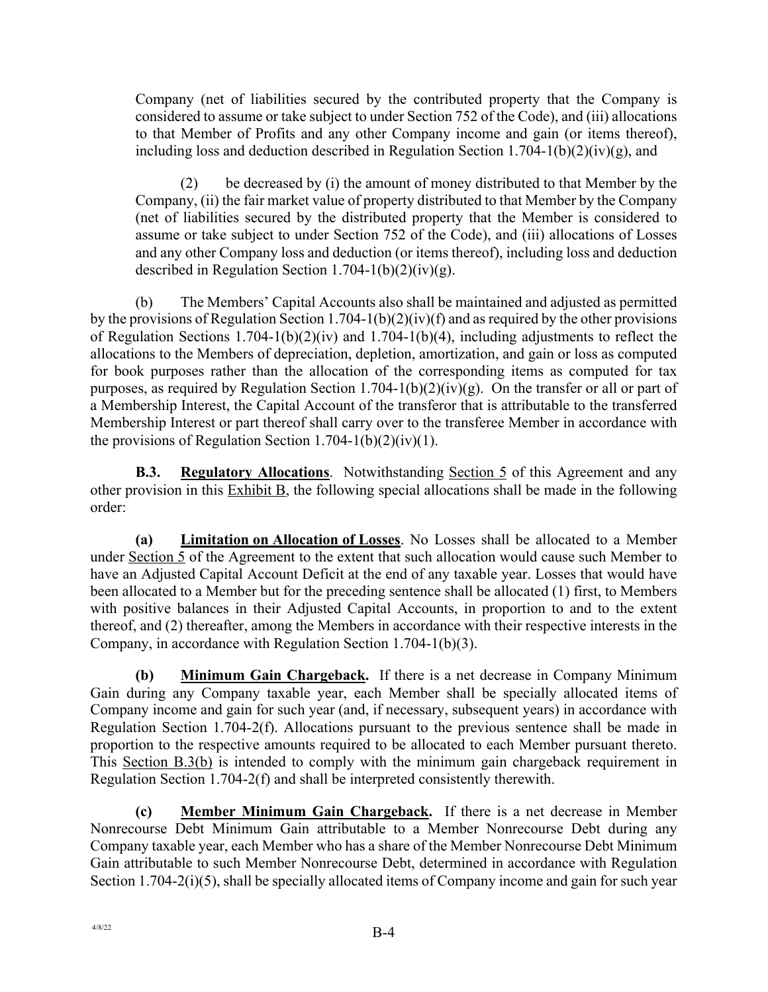Company (net of liabilities secured by the contributed property that the Company is considered to assume or take subject to under Section 752 of the Code), and (iii) allocations to that Member of Profits and any other Company income and gain (or items thereof), including loss and deduction described in Regulation Section 1.704-1(b)(2)(iv)(g), and

(2) be decreased by (i) the amount of money distributed to that Member by the Company, (ii) the fair market value of property distributed to that Member by the Company (net of liabilities secured by the distributed property that the Member is considered to assume or take subject to under Section 752 of the Code), and (iii) allocations of Losses and any other Company loss and deduction (or items thereof), including loss and deduction described in Regulation Section  $1.704-1(b)(2)(iv)(g)$ .

(b) The Members' Capital Accounts also shall be maintained and adjusted as permitted by the provisions of Regulation Section 1.704-1(b)(2)(iv)(f) and as required by the other provisions of Regulation Sections 1.704-1(b)(2)(iv) and 1.704-1(b)(4), including adjustments to reflect the allocations to the Members of depreciation, depletion, amortization, and gain or loss as computed for book purposes rather than the allocation of the corresponding items as computed for tax purposes, as required by Regulation Section 1.704-1(b)(2)(iv)(g). On the transfer or all or part of a Membership Interest, the Capital Account of the transferor that is attributable to the transferred Membership Interest or part thereof shall carry over to the transferee Member in accordance with the provisions of Regulation Section 1.704-1(b)(2)(iv)(1).

**B.3. Regulatory Allocations**. Notwithstanding **Section 5** of this Agreement and any other provision in this Exhibit B, the following special allocations shall be made in the following order:

**(a) Limitation on Allocation of Losses**. No Losses shall be allocated to a Member under Section 5 of the Agreement to the extent that such allocation would cause such Member to have an Adjusted Capital Account Deficit at the end of any taxable year. Losses that would have been allocated to a Member but for the preceding sentence shall be allocated (1) first, to Members with positive balances in their Adjusted Capital Accounts, in proportion to and to the extent thereof, and (2) thereafter, among the Members in accordance with their respective interests in the Company, in accordance with Regulation Section 1.704-1(b)(3).

**(b) Minimum Gain Chargeback.** If there is a net decrease in Company Minimum Gain during any Company taxable year, each Member shall be specially allocated items of Company income and gain for such year (and, if necessary, subsequent years) in accordance with Regulation Section 1.704-2(f). Allocations pursuant to the previous sentence shall be made in proportion to the respective amounts required to be allocated to each Member pursuant thereto. This Section B.3(b) is intended to comply with the minimum gain chargeback requirement in Regulation Section 1.704-2(f) and shall be interpreted consistently therewith.

**(c) Member Minimum Gain Chargeback.** If there is a net decrease in Member Nonrecourse Debt Minimum Gain attributable to a Member Nonrecourse Debt during any Company taxable year, each Member who has a share of the Member Nonrecourse Debt Minimum Gain attributable to such Member Nonrecourse Debt, determined in accordance with Regulation Section 1.704-2(i)(5), shall be specially allocated items of Company income and gain for such year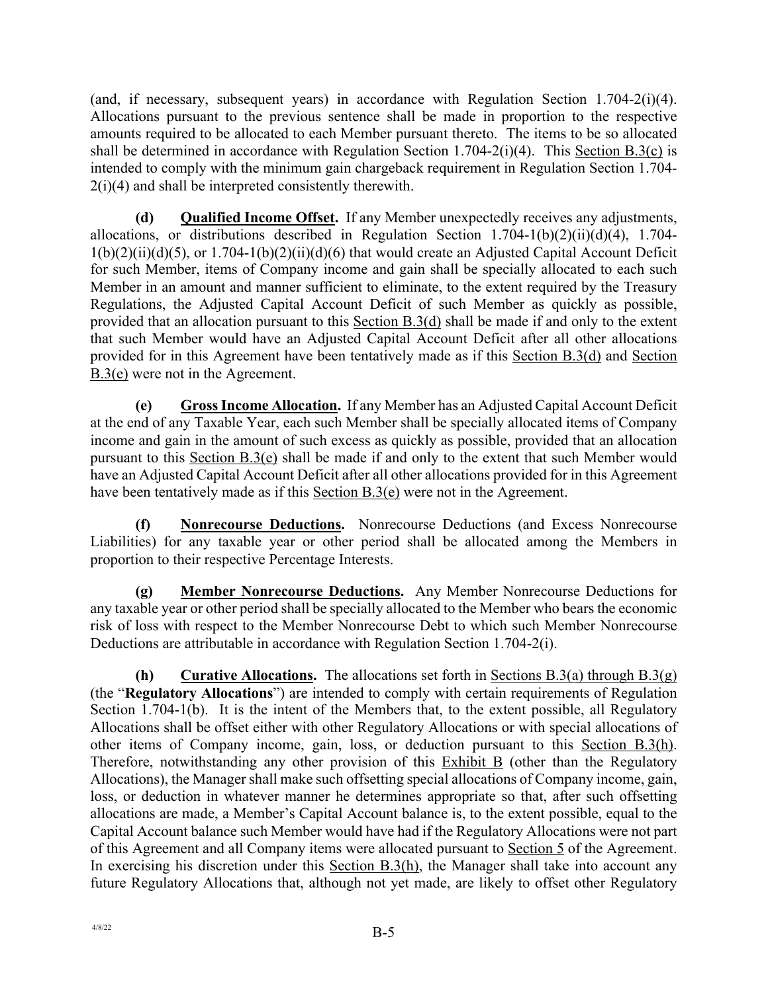(and, if necessary, subsequent years) in accordance with Regulation Section 1.704-2(i)(4). Allocations pursuant to the previous sentence shall be made in proportion to the respective amounts required to be allocated to each Member pursuant thereto. The items to be so allocated shall be determined in accordance with Regulation Section 1.704-2(i)(4). This Section B.3(c) is intended to comply with the minimum gain chargeback requirement in Regulation Section 1.704-  $2(i)(4)$  and shall be interpreted consistently therewith.

**(d) Qualified Income Offset.** If any Member unexpectedly receives any adjustments, allocations, or distributions described in Regulation Section 1.704-1(b)(2)(ii)(d)(4), 1.704-  $1(b)(2)(ii)(d)(5)$ , or  $1.704-1(b)(2)(ii)(d)(6)$  that would create an Adjusted Capital Account Deficit for such Member, items of Company income and gain shall be specially allocated to each such Member in an amount and manner sufficient to eliminate, to the extent required by the Treasury Regulations, the Adjusted Capital Account Deficit of such Member as quickly as possible, provided that an allocation pursuant to this Section B.3(d) shall be made if and only to the extent that such Member would have an Adjusted Capital Account Deficit after all other allocations provided for in this Agreement have been tentatively made as if this Section B.3(d) and Section B.3(e) were not in the Agreement.

**(e) Gross Income Allocation.** If any Member has an Adjusted Capital Account Deficit at the end of any Taxable Year, each such Member shall be specially allocated items of Company income and gain in the amount of such excess as quickly as possible, provided that an allocation pursuant to this Section B.3(e) shall be made if and only to the extent that such Member would have an Adjusted Capital Account Deficit after all other allocations provided for in this Agreement have been tentatively made as if this Section B.3(e) were not in the Agreement.

**(f) Nonrecourse Deductions.** Nonrecourse Deductions (and Excess Nonrecourse Liabilities) for any taxable year or other period shall be allocated among the Members in proportion to their respective Percentage Interests.

**(g) Member Nonrecourse Deductions.** Any Member Nonrecourse Deductions for any taxable year or other period shall be specially allocated to the Member who bears the economic risk of loss with respect to the Member Nonrecourse Debt to which such Member Nonrecourse Deductions are attributable in accordance with Regulation Section 1.704-2(i).

**(h) Curative Allocations.** The allocations set forth in Sections B.3(a) through B.3(g) (the "**Regulatory Allocations**") are intended to comply with certain requirements of Regulation Section 1.704-1(b). It is the intent of the Members that, to the extent possible, all Regulatory Allocations shall be offset either with other Regulatory Allocations or with special allocations of other items of Company income, gain, loss, or deduction pursuant to this Section B.3(h). Therefore, notwithstanding any other provision of this  $Exhibit B$  (other than the Regulatory Allocations), the Manager shall make such offsetting special allocations of Company income, gain, loss, or deduction in whatever manner he determines appropriate so that, after such offsetting allocations are made, a Member's Capital Account balance is, to the extent possible, equal to the Capital Account balance such Member would have had if the Regulatory Allocations were not part of this Agreement and all Company items were allocated pursuant to Section 5 of the Agreement. In exercising his discretion under this Section B.3(h), the Manager shall take into account any future Regulatory Allocations that, although not yet made, are likely to offset other Regulatory